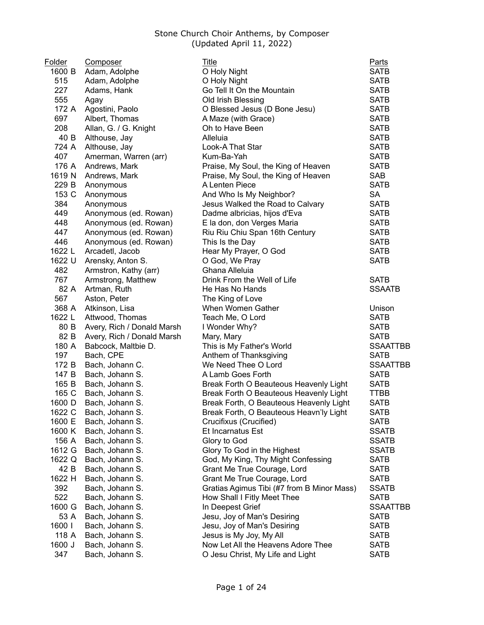| Folder | Composer                   | Title                                      | <b>Parts</b>    |
|--------|----------------------------|--------------------------------------------|-----------------|
| 1600 B | Adam, Adolphe              | O Holy Night                               | <b>SATB</b>     |
| 515    | Adam, Adolphe              | O Holy Night                               | <b>SATB</b>     |
| 227    | Adams, Hank                | Go Tell It On the Mountain                 | <b>SATB</b>     |
| 555    | Agay                       | Old Irish Blessing                         | <b>SATB</b>     |
| 172 A  | Agostini, Paolo            | O Blessed Jesus (D Bone Jesu)              | <b>SATB</b>     |
| 697    | Albert, Thomas             | A Maze (with Grace)                        | <b>SATB</b>     |
| 208    | Allan, G. / G. Knight      | Oh to Have Been                            | <b>SATB</b>     |
| 40 B   | Althouse, Jay              | Alleluia                                   | <b>SATB</b>     |
| 724 A  | Althouse, Jay              | Look-A That Star                           | <b>SATB</b>     |
| 407    | Amerman, Warren (arr)      | Kum-Ba-Yah                                 | <b>SATB</b>     |
| 176 A  | Andrews, Mark              | Praise, My Soul, the King of Heaven        | <b>SATB</b>     |
| 1619 N | Andrews, Mark              | Praise, My Soul, the King of Heaven        | <b>SAB</b>      |
| 229 B  | Anonymous                  | A Lenten Piece                             | <b>SATB</b>     |
| 153 C  | Anonymous                  | And Who Is My Neighbor?                    | <b>SA</b>       |
| 384    | Anonymous                  | Jesus Walked the Road to Calvary           | <b>SATB</b>     |
| 449    | Anonymous (ed. Rowan)      | Dadme albricias, hijos d'Eva               | <b>SATB</b>     |
| 448    | Anonymous (ed. Rowan)      | E la don, don Verges Maria                 | <b>SATB</b>     |
| 447    | Anonymous (ed. Rowan)      | Riu Riu Chiu Span 16th Century             | <b>SATB</b>     |
| 446    | Anonymous (ed. Rowan)      | This Is the Day                            | <b>SATB</b>     |
| 1622 L | Arcadetl, Jacob            | Hear My Prayer, O God                      | <b>SATB</b>     |
| 1622 U | Arensky, Anton S.          | O God, We Pray                             | <b>SATB</b>     |
| 482    |                            | Ghana Alleluia                             |                 |
| 767    | Armstron, Kathy (arr)      | Drink From the Well of Life                | <b>SATB</b>     |
| 82 A   | Armstrong, Matthew         |                                            | <b>SSAATB</b>   |
| 567    | Artman, Ruth               | He Has No Hands                            |                 |
|        | Aston, Peter               | The King of Love<br>When Women Gather      |                 |
| 368 A  | Atkinson, Lisa             |                                            | Unison          |
| 1622 L | Attwood, Thomas            | Teach Me, O Lord                           | <b>SATB</b>     |
| 80 B   | Avery, Rich / Donald Marsh | I Wonder Why?                              | <b>SATB</b>     |
| 82 B   | Avery, Rich / Donald Marsh | Mary, Mary                                 | <b>SATB</b>     |
| 180 A  | Babcock, Maltbie D.        | This is My Father's World                  | <b>SSAATTBB</b> |
| 197    | Bach, CPE                  | Anthem of Thanksgiving                     | <b>SATB</b>     |
| 172 B  | Bach, Johann C.            | We Need Thee O Lord                        | <b>SSAATTBB</b> |
| 147 B  | Bach, Johann S.            | A Lamb Goes Forth                          | <b>SATB</b>     |
| 165 B  | Bach, Johann S.            | Break Forth O Beauteous Heavenly Light     | <b>SATB</b>     |
| 165 C  | Bach, Johann S.            | Break Forth O Beauteous Heavenly Light     | <b>TTBB</b>     |
| 1600 D | Bach, Johann S.            | Break Forth, O Beauteous Heavenly Light    | <b>SATB</b>     |
| 1622 C | Bach, Johann S.            | Break Forth, O Beauteous Heavn'ly Light    | SATB            |
| 1600 E | Bach, Johann S.            | Crucifixus (Crucified)                     | <b>SATB</b>     |
| 1600 K | Bach, Johann S.            | Et Incarnatus Est                          | <b>SSATB</b>    |
| 156 A  | Bach, Johann S.            | Glory to God                               | <b>SSATB</b>    |
| 1612 G | Bach, Johann S.            | Glory To God in the Highest                | <b>SSATB</b>    |
| 1622 Q | Bach, Johann S.            | God, My King, Thy Might Confessing         | <b>SATB</b>     |
| 42 B   | Bach, Johann S.            | Grant Me True Courage, Lord                | <b>SATB</b>     |
| 1622 H | Bach, Johann S.            | Grant Me True Courage, Lord                | <b>SATB</b>     |
| 392    | Bach, Johann S.            | Gratias Agimus Tibi (#7 from B Minor Mass) | <b>SSATB</b>    |
| 522    | Bach, Johann S.            | How Shall I Fitly Meet Thee                | <b>SATB</b>     |
| 1600 G | Bach, Johann S.            | In Deepest Grief                           | <b>SSAATTBB</b> |
| 53 A   | Bach, Johann S.            | Jesu, Joy of Man's Desiring                | <b>SATB</b>     |
| 1600   | Bach, Johann S.            | Jesu, Joy of Man's Desiring                | <b>SATB</b>     |
| 118 A  | Bach, Johann S.            | Jesus is My Joy, My All                    | <b>SATB</b>     |
| 1600 J | Bach, Johann S.            | Now Let All the Heavens Adore Thee         | <b>SATB</b>     |
| 347    | Bach, Johann S.            | O Jesu Christ, My Life and Light           | <b>SATB</b>     |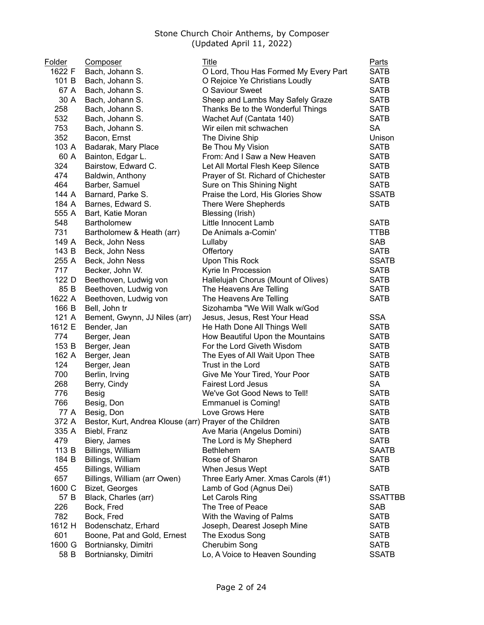| Folder | Composer                                                 | Title                                                           | Parts          |
|--------|----------------------------------------------------------|-----------------------------------------------------------------|----------------|
| 1622 F | Bach, Johann S.                                          | O Lord, Thou Has Formed My Every Part                           | <b>SATB</b>    |
| 101 B  | Bach, Johann S.                                          | O Rejoice Ye Christians Loudly                                  | <b>SATB</b>    |
| 67 A   | Bach, Johann S.                                          | O Saviour Sweet                                                 | <b>SATB</b>    |
| 30 A   | Bach, Johann S.                                          | Sheep and Lambs May Safely Graze                                | <b>SATB</b>    |
| 258    | Bach, Johann S.                                          | Thanks Be to the Wonderful Things                               | <b>SATB</b>    |
| 532    | Bach, Johann S.                                          | Wachet Auf (Cantata 140)                                        | <b>SATB</b>    |
| 753    | Bach, Johann S.                                          | Wir eilen mit schwachen                                         | <b>SA</b>      |
| 352    | Bacon, Ernst                                             | The Divine Ship                                                 | Unison         |
| 103 A  | Badarak, Mary Place                                      | Be Thou My Vision                                               | <b>SATB</b>    |
| 60 A   | Bainton, Edgar L.                                        | From: And I Saw a New Heaven                                    | <b>SATB</b>    |
| 324    | Bairstow, Edward C.                                      | Let All Mortal Flesh Keep Silence                               | <b>SATB</b>    |
| 474    | Baldwin, Anthony                                         | Prayer of St. Richard of Chichester                             | <b>SATB</b>    |
| 464    | Barber, Samuel                                           |                                                                 | <b>SATB</b>    |
| 144 A  |                                                          | Sure on This Shining Night<br>Praise the Lord, His Glories Show | <b>SSATB</b>   |
|        | Barnard, Parke S.                                        |                                                                 |                |
| 184 A  | Barnes, Edward S.                                        | There Were Shepherds                                            | <b>SATB</b>    |
| 555 A  | Bart, Katie Moran                                        | Blessing (Irish)                                                |                |
| 548    | Bartholomew                                              | Little Innocent Lamb                                            | <b>SATB</b>    |
| 731    | Bartholomew & Heath (arr)                                | De Animals a-Comin'                                             | <b>TTBB</b>    |
| 149 A  | Beck, John Ness                                          | Lullaby                                                         | <b>SAB</b>     |
| 143 B  | Beck, John Ness                                          | Offertory                                                       | <b>SATB</b>    |
| 255 A  | Beck, John Ness                                          | Upon This Rock                                                  | <b>SSATB</b>   |
| 717    | Becker, John W.                                          | Kyrie In Procession                                             | <b>SATB</b>    |
| 122 D  | Beethoven, Ludwig von                                    | Hallelujah Chorus (Mount of Olives)                             | <b>SATB</b>    |
| 85 B   | Beethoven, Ludwig von                                    | The Heavens Are Telling                                         | <b>SATB</b>    |
| 1622 A | Beethoven, Ludwig von                                    | The Heavens Are Telling                                         | <b>SATB</b>    |
| 166 B  | Bell, John tr                                            | Sizohamba "We Will Walk w/God                                   |                |
| 121 A  | Bement, Gwynn, JJ Niles (arr)                            | Jesus, Jesus, Rest Your Head                                    | <b>SSA</b>     |
| 1612 E | Bender, Jan                                              | He Hath Done All Things Well                                    | <b>SATB</b>    |
| 774    | Berger, Jean                                             | How Beautiful Upon the Mountains                                | <b>SATB</b>    |
| 153 B  | Berger, Jean                                             | For the Lord Giveth Wisdom                                      | <b>SATB</b>    |
| 162 A  | Berger, Jean                                             | The Eyes of All Wait Upon Thee                                  | <b>SATB</b>    |
| 124    | Berger, Jean                                             | Trust in the Lord                                               | <b>SATB</b>    |
| 700    | Berlin, Irving                                           | Give Me Your Tired, Your Poor                                   | <b>SATB</b>    |
| 268    | Berry, Cindy                                             | <b>Fairest Lord Jesus</b>                                       | <b>SA</b>      |
| 776    | Besig                                                    | We've Got Good News to Tell!                                    | <b>SATB</b>    |
| 766    | Besig, Don                                               | <b>Emmanuel is Coming!</b>                                      | <b>SATB</b>    |
| 77 A   | Besig, Don                                               | Love Grows Here                                                 | <b>SATB</b>    |
| 372 A  | Bestor, Kurt, Andrea Klouse (arr) Prayer of the Children |                                                                 | <b>SATB</b>    |
| 335 A  | Biebl, Franz                                             | Ave Maria (Angelus Domini)                                      | <b>SATB</b>    |
| 479    | Biery, James                                             | The Lord is My Shepherd                                         | <b>SATB</b>    |
| 113 B  | Billings, William                                        | <b>Bethlehem</b>                                                | <b>SAATB</b>   |
| 184 B  | Billings, William                                        | Rose of Sharon                                                  | <b>SATB</b>    |
| 455    | Billings, William                                        | When Jesus Wept                                                 | <b>SATB</b>    |
| 657    | Billings, William (arr Owen)                             | Three Early Amer. Xmas Carols (#1)                              |                |
| 1600 C | Bizet, Georges                                           | Lamb of God (Agnus Dei)                                         | <b>SATB</b>    |
| 57 B   | Black, Charles (arr)                                     | Let Carols Ring                                                 | <b>SSATTBB</b> |
| 226    | Bock, Fred                                               | The Tree of Peace                                               | <b>SAB</b>     |
| 782    | Bock, Fred                                               | With the Waving of Palms                                        | <b>SATB</b>    |
| 1612 H | Bodenschatz, Erhard                                      | Joseph, Dearest Joseph Mine                                     | <b>SATB</b>    |
| 601    | Boone, Pat and Gold, Ernest                              | The Exodus Song                                                 | <b>SATB</b>    |
| 1600 G | Bortniansky, Dimitri                                     | Cherubim Song                                                   | <b>SATB</b>    |
| 58 B   | Bortniansky, Dimitri                                     | Lo, A Voice to Heaven Sounding                                  | <b>SSATB</b>   |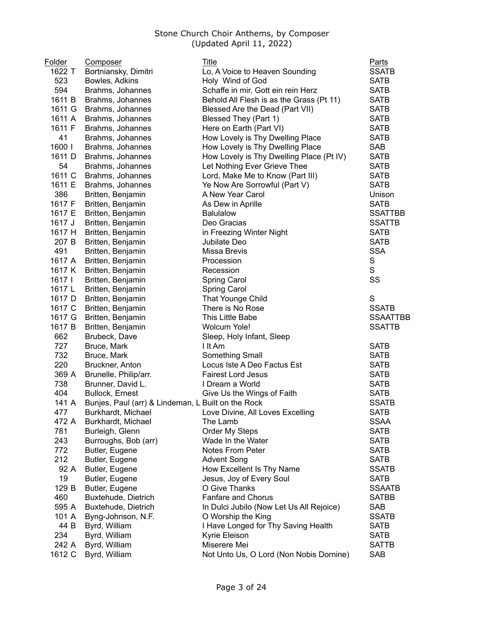| Folder | Composer                                           | Title                                    | <b>Parts</b>    |
|--------|----------------------------------------------------|------------------------------------------|-----------------|
| 1622 T | Bortniansky, Dimitri                               | Lo, A Voice to Heaven Sounding           | <b>SSATB</b>    |
| 523    | Bowles, Adkins                                     | Holy Wind of God                         | <b>SATB</b>     |
| 594    | Brahms, Johannes                                   | Schaffe in mir, Gott ein rein Herz       | <b>SATB</b>     |
| 1611 B | Brahms, Johannes                                   | Behold All Flesh is as the Grass (Pt 11) | <b>SATB</b>     |
| 1611 G | Brahms, Johannes                                   | Blessed Are the Dead (Part VII)          | <b>SATB</b>     |
| 1611 A | Brahms, Johannes                                   | Blessed They (Part 1)                    | <b>SATB</b>     |
| 1611 F | Brahms, Johannes                                   | Here on Earth (Part VI)                  | <b>SATB</b>     |
| 41     | Brahms, Johannes                                   | How Lovely is Thy Dwelling Place         | <b>SATB</b>     |
| 1600   | Brahms, Johannes                                   | How Lovely is Thy Dwelling Place         | <b>SAB</b>      |
| 1611 D | Brahms, Johannes                                   | How Lovely is Thy Dwelling Place (Pt IV) | <b>SATB</b>     |
| 54     | Brahms, Johannes                                   | Let Nothing Ever Grieve Thee             | <b>SATB</b>     |
| 1611 C | Brahms, Johannes                                   | Lord, Make Me to Know (Part III)         | <b>SATB</b>     |
| 1611 E | Brahms, Johannes                                   | Ye Now Are Sorrowful (Part V)            | <b>SATB</b>     |
| 386    | Britten, Benjamin                                  | A New Year Carol                         | Unison          |
| 1617 F | Britten, Benjamin                                  | As Dew in Aprille                        | <b>SATB</b>     |
| 1617 E | Britten, Benjamin                                  | <b>Balulalow</b>                         | <b>SSATTBB</b>  |
| 1617 J | Britten, Benjamin                                  | Deo Gracias                              | <b>SSATTB</b>   |
| 1617 H | Britten, Benjamin                                  | in Freezing Winter Night                 | <b>SATB</b>     |
| 207 B  | Britten, Benjamin                                  | Jubilate Deo                             | <b>SATB</b>     |
| 491    | Britten, Benjamin                                  | Missa Brevis                             | <b>SSA</b>      |
| 1617 A | Britten, Benjamin                                  | Procession                               | ${\mathsf S}$   |
| 1617 K | Britten, Benjamin                                  | Recession                                | $\mathsf{s}$    |
| 1617   | Britten, Benjamin                                  | Spring Carol                             | SS              |
| 1617 L | Britten, Benjamin                                  | <b>Spring Carol</b>                      |                 |
| 1617 D | Britten, Benjamin                                  | That Younge Child                        | ${\mathsf S}$   |
| 1617 C | Britten, Benjamin                                  | There is No Rose                         | <b>SSATB</b>    |
| 1617 G | Britten, Benjamin                                  | This Little Babe                         | <b>SSAATTBB</b> |
| 1617 B | Britten, Benjamin                                  | Wolcum Yole!                             | <b>SSATTB</b>   |
| 662    | Brubeck, Dave                                      | Sleep, Holy Infant, Sleep                |                 |
| 727    | Bruce, Mark                                        | I It Am                                  | <b>SATB</b>     |
| 732    | Bruce, Mark                                        | Something Small                          | <b>SATB</b>     |
| 220    | Bruckner, Anton                                    | Locus Iste A Deo Factus Est              | <b>SATB</b>     |
| 369 A  | Brunelle, Philip/arr.                              | <b>Fairest Lord Jesus</b>                | <b>SATB</b>     |
| 738    | Brunner, David L.                                  | I Dream a World                          | <b>SATB</b>     |
| 404    | <b>Bullock, Ernest</b>                             | Give Us the Wings of Faith               | <b>SATB</b>     |
| 141 A  | Bunjes, Paul (arr) & Lindeman, L Built on the Rock |                                          | <b>SSATB</b>    |
| 477    | Burkhardt, Michael                                 | Love Divine, All Loves Excelling         | SATB            |
| 472 A  | Burkhardt, Michael                                 | The Lamb                                 | <b>SSAA</b>     |
| 781    | Burleigh, Glenn                                    | <b>Order My Steps</b>                    | <b>SATB</b>     |
| 243    | Burroughs, Bob (arr)                               | Wade In the Water                        | <b>SATB</b>     |
| 772    | Butler, Eugene                                     | <b>Notes From Peter</b>                  | <b>SATB</b>     |
| 212    | Butler, Eugene                                     | <b>Advent Song</b>                       | <b>SATB</b>     |
| 92 A   | Butler, Eugene                                     | How Excellent Is Thy Name                | <b>SSATB</b>    |
| 19     | Butler, Eugene                                     | Jesus, Joy of Every Soul                 | <b>SATB</b>     |
| 129 B  | Butler, Eugene                                     | O Give Thanks                            | <b>SSAATB</b>   |
| 460    | Buxtehude, Dietrich                                | <b>Fanfare and Chorus</b>                | <b>SATBB</b>    |
| 595 A  |                                                    |                                          | <b>SAB</b>      |
| 101 A  | Buxtehude, Dietrich                                | In Dulci Jubilo (Now Let Us All Rejoice) | <b>SSATB</b>    |
|        | Byng-Johnson, N.F.                                 | O Worship the King                       |                 |
| 44 B   | Byrd, William                                      | I Have Longed for Thy Saving Health      | <b>SATB</b>     |
| 234    | Byrd, William                                      | Kyrie Eleison                            | <b>SATB</b>     |
| 242 A  | Byrd, William                                      | Miserere Mei                             | <b>SATTB</b>    |
| 1612 C | Byrd, William                                      | Not Unto Us, O Lord (Non Nobis Dornine)  | <b>SAB</b>      |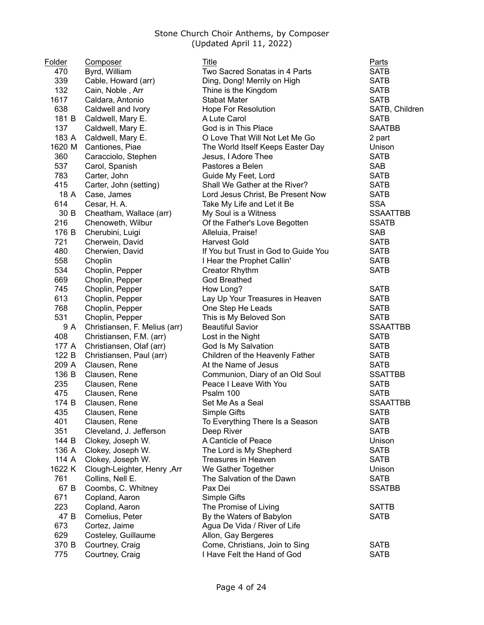| Folder | <b>Composer</b>               | <b>Title</b>                         | <b>Parts</b>    |
|--------|-------------------------------|--------------------------------------|-----------------|
| 470    | Byrd, William                 | Two Sacred Sonatas in 4 Parts        | <b>SATB</b>     |
| 339    | Cable, Howard (arr)           | Ding, Dong! Merrily on High          | <b>SATB</b>     |
| 132    | Cain, Noble, Arr              | Thine is the Kingdom                 | <b>SATB</b>     |
| 1617   | Caldara, Antonio              | <b>Stabat Mater</b>                  | <b>SATB</b>     |
| 638    | Caldwell and Ivory            | <b>Hope For Resolution</b>           | SATB, Children  |
| 181 B  | Caldwell, Mary E.             | A Lute Carol                         | <b>SATB</b>     |
| 137    | Caldwell, Mary E.             | God is in This Place                 | <b>SAATBB</b>   |
| 183 A  | Caldwell, Mary E.             | O Love That Will Not Let Me Go       | 2 part          |
| 1620 M | Cantiones, Piae               | The World Itself Keeps Easter Day    | Unison          |
| 360    | Caracciolo, Stephen           | Jesus, I Adore Thee                  | <b>SATB</b>     |
| 537    | Carol, Spanish                | Pastores a Belen                     | <b>SAB</b>      |
| 783    | Carter, John                  | Guide My Feet, Lord                  | <b>SATB</b>     |
| 415    | Carter, John (setting)        | Shall We Gather at the River?        | <b>SATB</b>     |
| 18 A   | Case, James                   | Lord Jesus Christ, Be Present Now    | <b>SATB</b>     |
| 614    | Cesar, H.A.                   | Take My Life and Let it Be           | <b>SSA</b>      |
| 30 B   | Cheatham, Wallace (arr)       | My Soul is a Witness                 | <b>SSAATTBB</b> |
| 216    | Chenoweth, Wilbur             | Of the Father's Love Begotten        | <b>SSATB</b>    |
| 176 B  | Cherubini, Luigi              | Alleluia, Praise!                    | <b>SAB</b>      |
| 721    | Cherwein, David               | <b>Harvest Gold</b>                  | <b>SATB</b>     |
| 480    | Cherwien, David               | If You but Trust in God to Guide You | <b>SATB</b>     |
| 558    | Choplin                       | I Hear the Prophet Callin'           | <b>SATB</b>     |
| 534    | Choplin, Pepper               | Creator Rhythm                       | <b>SATB</b>     |
| 669    | Choplin, Pepper               | <b>God Breathed</b>                  |                 |
| 745    | Choplin, Pepper               | How Long?                            | <b>SATB</b>     |
| 613    | Choplin, Pepper               | Lay Up Your Treasures in Heaven      | <b>SATB</b>     |
| 768    | Choplin, Pepper               | One Step He Leads                    | <b>SATB</b>     |
| 531    | Choplin, Pepper               | This is My Beloved Son               | <b>SATB</b>     |
| 9 A    | Christiansen, F. Melius (arr) | <b>Beautiful Savior</b>              | <b>SSAATTBB</b> |
| 408    | Christiansen, F.M. (arr)      | Lost in the Night                    | <b>SATB</b>     |
| 177 A  | Christiansen, Olaf (arr)      | God Is My Salvation                  | <b>SATB</b>     |
| 122 B  | Christiansen, Paul (arr)      | Children of the Heavenly Father      | <b>SATB</b>     |
| 209 A  | Clausen, Rene                 | At the Name of Jesus                 | <b>SATB</b>     |
| 136 B  | Clausen, Rene                 | Communion, Diary of an Old Soul      | <b>SSATTBB</b>  |
| 235    | Clausen, Rene                 | Peace I Leave With You               | <b>SATB</b>     |
| 475    | Clausen, Rene                 | Psalm 100                            | <b>SATB</b>     |
| 174 B  | Clausen, Rene                 | Set Me As a Seal                     | <b>SSAATTBB</b> |
| 435    | Clausen, Rene                 | Simple Gifts                         | <b>SATB</b>     |
| 401    | Clausen, Rene                 | To Everything There Is a Season      | <b>SATB</b>     |
| 351    | Cleveland, J. Jefferson       | Deep River                           | <b>SATB</b>     |
| 144 B  | Clokey, Joseph W.             | A Canticle of Peace                  | Unison          |
| 136 A  | Clokey, Joseph W.             | The Lord is My Shepherd              | <b>SATB</b>     |
| 114 A  | Clokey, Joseph W.             | Treasures in Heaven                  | <b>SATB</b>     |
| 1622 K | Clough-Leighter, Henry, Arr   | We Gather Together                   | Unison          |
| 761    | Collins, Nell E.              | The Salvation of the Dawn            | <b>SATB</b>     |
| 67 B   | Coombs, C. Whitney            | Pax Dei                              | <b>SSATBB</b>   |
| 671    | Copland, Aaron                | Simple Gifts                         |                 |
| 223    | Copland, Aaron                | The Promise of Living                | <b>SATTB</b>    |
| 47 B   | Cornelius, Peter              | By the Waters of Babylon             | <b>SATB</b>     |
| 673    | Cortez, Jaime                 | Agua De Vida / River of Life         |                 |
| 629    | Costeley, Guillaume           | Allon, Gay Bergeres                  |                 |
| 370 B  | Courtney, Craig               | Come, Christians, Join to Sing       | <b>SATB</b>     |
| 775    | Courtney, Craig               | I Have Felt the Hand of God          | <b>SATB</b>     |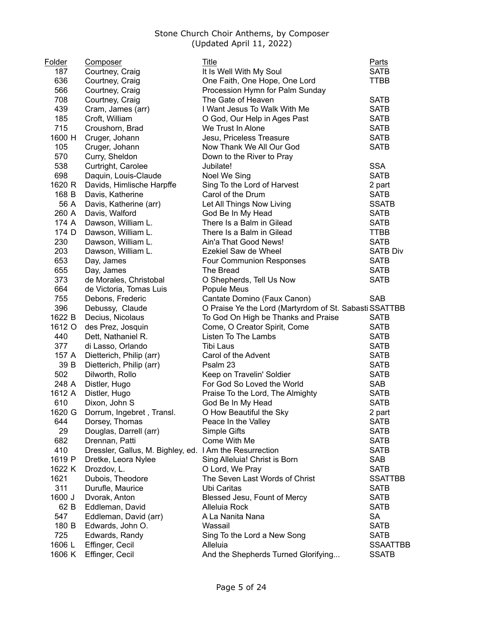| Folder | <b>Composer</b>                                         | Title                                                  | <b>Parts</b>    |
|--------|---------------------------------------------------------|--------------------------------------------------------|-----------------|
| 187    | Courtney, Craig                                         | It Is Well With My Soul                                | <b>SATB</b>     |
| 636    | Courtney, Craig                                         | One Faith, One Hope, One Lord                          | <b>TTBB</b>     |
| 566    | Courtney, Craig                                         | Procession Hymn for Palm Sunday                        |                 |
| 708    | Courtney, Craig                                         | The Gate of Heaven                                     | <b>SATB</b>     |
| 439    | Cram, James (arr)                                       | I Want Jesus To Walk With Me                           | <b>SATB</b>     |
| 185    | Croft, William                                          | O God, Our Help in Ages Past                           | <b>SATB</b>     |
| 715    | Croushorn, Brad                                         | We Trust In Alone                                      | <b>SATB</b>     |
| 1600 H | Cruger, Johann                                          | Jesu, Priceless Treasure                               | <b>SATB</b>     |
| 105    | Cruger, Johann                                          | Now Thank We All Our God                               | <b>SATB</b>     |
| 570    | Curry, Sheldon                                          | Down to the River to Pray                              |                 |
| 538    | Curtright, Carolee                                      | Jubilate!                                              | <b>SSA</b>      |
| 698    | Daquin, Louis-Claude                                    | Noel We Sing                                           | <b>SATB</b>     |
| 1620 R | Davids, Himlische Harpffe                               | Sing To the Lord of Harvest                            | 2 part          |
| 168 B  | Davis, Katherine                                        | Carol of the Drum                                      | <b>SATB</b>     |
| 56 A   | Davis, Katherine (arr)                                  | Let All Things Now Living                              | <b>SSATB</b>    |
| 260 A  | Davis, Walford                                          | God Be In My Head                                      | <b>SATB</b>     |
| 174 A  | Dawson, William L.                                      | There Is a Balm in Gilead                              | <b>SATB</b>     |
| 174 D  | Dawson, William L.                                      | There Is a Balm in Gilead                              | <b>TTBB</b>     |
| 230    | Dawson, William L.                                      | Ain'a That Good News!                                  | <b>SATB</b>     |
| 203    | Dawson, William L.                                      | Ezekiel Saw de Wheel                                   | <b>SATB Div</b> |
| 653    | Day, James                                              | <b>Four Communion Responses</b>                        | <b>SATB</b>     |
| 655    | Day, James                                              | The Bread                                              | <b>SATB</b>     |
| 373    | de Morales, Christobal                                  | O Shepherds, Tell Us Now                               | <b>SATB</b>     |
| 664    | de Victoria, Tomas Luis                                 | Popule Meus                                            |                 |
| 755    | Debons, Frederic                                        | Cantate Domino (Faux Canon)                            | <b>SAB</b>      |
| 396    | Debussy, Claude                                         | O Praise Ye the Lord (Martyrdom of St. Sabasti SSATTBB |                 |
| 1622 B | Decius, Nicolaus                                        | To God On High be Thanks and Praise                    | <b>SATB</b>     |
| 1612 O | des Prez, Josquin                                       | Come, O Creator Spirit, Come                           | <b>SATB</b>     |
| 440    | Dett, Nathaniel R.                                      | Listen To The Lambs                                    | <b>SATB</b>     |
| 377    | di Lasso, Orlando                                       | Tibi Laus                                              | <b>SATB</b>     |
| 157 A  | Dietterich, Philip (arr)                                | Carol of the Advent                                    | <b>SATB</b>     |
| 39 B   | Dietterich, Philip (arr)                                | Psalm 23                                               | <b>SATB</b>     |
| 502    | Dilworth, Rollo                                         | Keep on Travelin' Soldier                              | <b>SATB</b>     |
| 248 A  | Distler, Hugo                                           | For God So Loved the World                             | <b>SAB</b>      |
| 1612 A | Distler, Hugo                                           | Praise To the Lord, The Almighty                       | <b>SATB</b>     |
| 610    | Dixon, John S                                           | God Be In My Head                                      | <b>SATB</b>     |
| 1620 G | Dorrum, Ingebret, Transl.                               | O How Beautiful the Sky                                | 2 part          |
| 644    | Dorsey, Thomas                                          | Peace In the Valley                                    | <b>SATB</b>     |
| 29     | Douglas, Darrell (arr)                                  | Simple Gifts                                           | <b>SATB</b>     |
| 682    | Drennan, Patti                                          | Come With Me                                           | <b>SATB</b>     |
| 410    | Dressler, Gallus, M. Bighley, ed. I Am the Resurrection |                                                        | <b>SATB</b>     |
| 1619 P | Dretke, Leora Nylee                                     | Sing Alleluia! Christ is Born                          | <b>SAB</b>      |
| 1622 K | Drozdov, L.                                             | O Lord, We Pray                                        | <b>SATB</b>     |
| 1621   | Dubois, Theodore                                        | The Seven Last Words of Christ                         | <b>SSATTBB</b>  |
| 311    | Durufle, Maurice                                        | Ubi Caritas                                            | <b>SATB</b>     |
| 1600 J | Dvorak, Anton                                           | Blessed Jesu, Fount of Mercy                           | <b>SATB</b>     |
| 62 B   | Eddleman, David                                         | Alleluia Rock                                          | <b>SATB</b>     |
| 547    | Eddleman, David (arr)                                   | A La Nanita Nana                                       | <b>SA</b>       |
| 180 B  | Edwards, John O.                                        | Wassail                                                | <b>SATB</b>     |
| 725    | Edwards, Randy                                          | Sing To the Lord a New Song                            | <b>SATB</b>     |
| 1606 L | Effinger, Cecil                                         | Alleluia                                               | <b>SSAATTBB</b> |
| 1606 K | Effinger, Cecil                                         | And the Shepherds Turned Glorifying                    | <b>SSATB</b>    |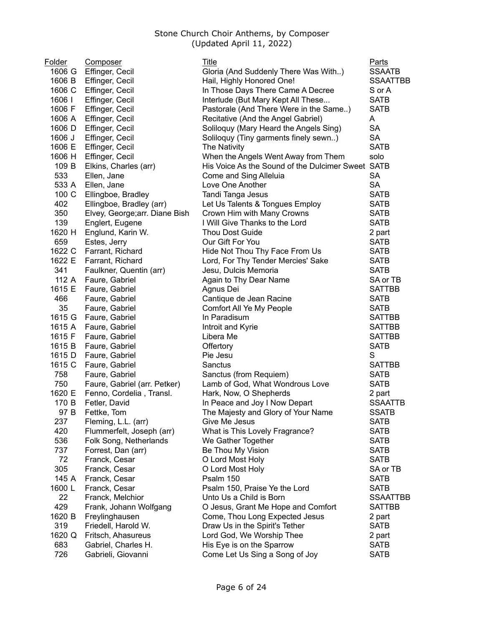| Folder | <b>Composer</b>                | Title                                             | <b>Parts</b>    |
|--------|--------------------------------|---------------------------------------------------|-----------------|
| 1606 G | Effinger, Cecil                | Gloria (And Suddenly There Was With)              | <b>SSAATB</b>   |
| 1606 B | Effinger, Cecil                | Hail, Highly Honored One!                         | <b>SSAATTBB</b> |
| 1606 C | Effinger, Cecil                | In Those Days There Came A Decree                 | S or A          |
| 1606   | Effinger, Cecil                | Interlude (But Mary Kept All These                | <b>SATB</b>     |
| 1606 F | Effinger, Cecil                | Pastorale (And There Were in the Same)            | <b>SATB</b>     |
| 1606 A | Effinger, Cecil                | Recitative (And the Angel Gabriel)                | A               |
| 1606 D | Effinger, Cecil                | Soliloquy (Mary Heard the Angels Sing)            | <b>SA</b>       |
| 1606 J | Effinger, Cecil                | Soliloquy (Tiny garments finely sewn)             | <b>SA</b>       |
| 1606 E | Effinger, Cecil                | The Nativity                                      | <b>SATB</b>     |
| 1606 H | Effinger, Cecil                | When the Angels Went Away from Them               | solo            |
| 109 B  | Elkins, Charles (arr)          | His Voice As the Sound of the Dulcimer Sweet SATB |                 |
| 533    | Ellen, Jane                    | Come and Sing Alleluia                            | <b>SA</b>       |
| 533 A  | Ellen, Jane                    | Love One Another                                  | <b>SA</b>       |
| 100 C  | Ellingboe, Bradley             | Tandi Tanga Jesus                                 | <b>SATB</b>     |
| 402    | Ellingboe, Bradley (arr)       | Let Us Talents & Tongues Employ                   | <b>SATB</b>     |
| 350    | Elvey, George; arr. Diane Bish | Crown Him with Many Crowns                        | <b>SATB</b>     |
| 139    | Englert, Eugene                | I Will Give Thanks to the Lord                    | <b>SATB</b>     |
| 1620 H | Englund, Karin W.              | <b>Thou Dost Guide</b>                            | 2 part          |
| 659    | Estes, Jerry                   | Our Gift For You                                  | <b>SATB</b>     |
| 1622 C | Farrant, Richard               | Hide Not Thou Thy Face From Us                    | <b>SATB</b>     |
| 1622 E | Farrant, Richard               | Lord, For Thy Tender Mercies' Sake                | <b>SATB</b>     |
| 341    | Faulkner, Quentin (arr)        | Jesu, Dulcis Memoria                              | <b>SATB</b>     |
| 112 A  | Faure, Gabriel                 | Again to Thy Dear Name                            | SA or TB        |
| 1615 E | Faure, Gabriel                 | Agnus Dei                                         | <b>SATTBB</b>   |
| 466    | Faure, Gabriel                 | Cantique de Jean Racine                           | <b>SATB</b>     |
| 35     | Faure, Gabriel                 | Comfort All Ye My People                          | <b>SATB</b>     |
| 1615 G | Faure, Gabriel                 | In Paradisum                                      | <b>SATTBB</b>   |
| 1615 A | Faure, Gabriel                 | Introit and Kyrie                                 | <b>SATTBB</b>   |
| 1615 F | Faure, Gabriel                 | Libera Me                                         | <b>SATTBB</b>   |
| 1615 B | Faure, Gabriel                 | Offertory                                         | <b>SATB</b>     |
| 1615 D | Faure, Gabriel                 | Pie Jesu                                          | S               |
| 1615 C | Faure, Gabriel                 | Sanctus                                           | <b>SATTBB</b>   |
| 758    | Faure, Gabriel                 | Sanctus (from Requiem)                            | <b>SATB</b>     |
| 750    | Faure, Gabriel (arr. Petker)   | Lamb of God, What Wondrous Love                   | <b>SATB</b>     |
| 1620 E | Fenno, Cordelia, Transl.       | Hark, Now, O Shepherds                            | 2 part          |
| 170 B  | Fetler, David                  | In Peace and Joy I Now Depart                     | SSAATTB         |
| 97 B   | Fettke, Tom                    | The Majesty and Glory of Your Name                | <b>SSATB</b>    |
| 237    | Fleming, L.L. (arr)            | Give Me Jesus                                     | <b>SATB</b>     |
| 420    | Flummerfelt, Joseph (arr)      | What is This Lovely Fragrance?                    | <b>SATB</b>     |
| 536    | Folk Song, Netherlands         | We Gather Together                                | <b>SATB</b>     |
| 737    | Forrest, Dan (arr)             | Be Thou My Vision                                 | <b>SATB</b>     |
| 72     | Franck, Cesar                  | O Lord Most Holy                                  | <b>SATB</b>     |
| 305    | Franck, Cesar                  | O Lord Most Holy                                  | SA or TB        |
| 145 A  | Franck, Cesar                  | Psalm 150                                         | <b>SATB</b>     |
| 1600L  | Franck, Cesar                  | Psalm 150, Praise Ye the Lord                     | <b>SATB</b>     |
| 22     | Franck, Melchior               | Unto Us a Child is Born                           | SSAATTBB        |
| 429    | Frank, Johann Wolfgang         | O Jesus, Grant Me Hope and Comfort                | <b>SATTBB</b>   |
| 1620 B | Freylinghausen                 | Come, Thou Long Expected Jesus                    | 2 part          |
| 319    | Friedell, Harold W.            | Draw Us in the Spirit's Tether                    | <b>SATB</b>     |
| 1620 Q | Fritsch, Ahasureus             | Lord God, We Worship Thee                         | 2 part          |
| 683    | Gabriel, Charles H.            | His Eye is on the Sparrow                         | <b>SATB</b>     |
| 726    | Gabrieli, Giovanni             | Come Let Us Sing a Song of Joy                    | <b>SATB</b>     |
|        |                                |                                                   |                 |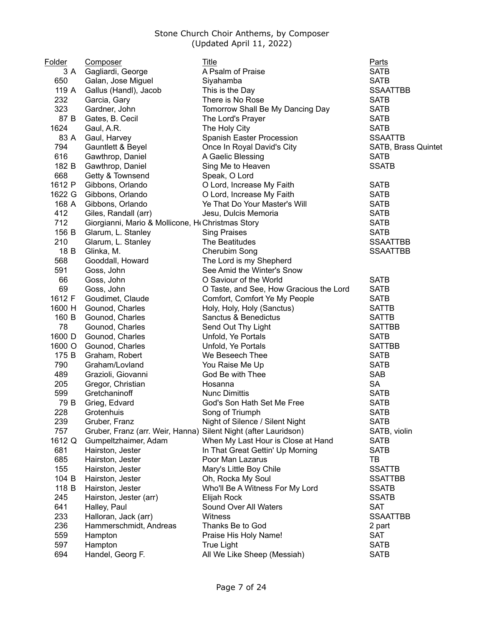| Folder | <b>Composer</b>                                                 | Title                                   | <b>Parts</b>        |
|--------|-----------------------------------------------------------------|-----------------------------------------|---------------------|
| 3 A    | Gagliardi, George                                               | A Psalm of Praise                       | <b>SATB</b>         |
| 650    | Galan, Jose Miguel                                              | Siyahamba                               | <b>SATB</b>         |
| 119 A  | Gallus (Handl), Jacob                                           | This is the Day                         | <b>SSAATTBB</b>     |
| 232    | Garcia, Gary                                                    | There is No Rose                        | <b>SATB</b>         |
| 323    | Gardner, John                                                   | Tomorrow Shall Be My Dancing Day        | <b>SATB</b>         |
| 87 B   | Gates, B. Cecil                                                 | The Lord's Prayer                       | <b>SATB</b>         |
| 1624   | Gaul, A.R.                                                      | The Holy City                           | <b>SATB</b>         |
| 83 A   | Gaul, Harvey                                                    | Spanish Easter Procession               | <b>SSAATTB</b>      |
| 794    | Gauntlett & Beyel                                               | Once In Royal David's City              | SATB, Brass Quintet |
| 616    | Gawthrop, Daniel                                                | A Gaelic Blessing                       | <b>SATB</b>         |
| 182 B  | Gawthrop, Daniel                                                | Sing Me to Heaven                       | <b>SSATB</b>        |
| 668    | Getty & Townsend                                                | Speak, O Lord                           |                     |
| 1612 P | Gibbons, Orlando                                                | O Lord, Increase My Faith               | <b>SATB</b>         |
| 1622 G | Gibbons, Orlando                                                | O Lord, Increase My Faith               | <b>SATB</b>         |
| 168 A  | Gibbons, Orlando                                                | Ye That Do Your Master's Will           | <b>SATB</b>         |
| 412    | Giles, Randall (arr)                                            | Jesu, Dulcis Memoria                    | <b>SATB</b>         |
| 712    | Giorgianni, Mario & Mollicone, H Christmas Story                |                                         | <b>SATB</b>         |
| 156 B  | Glarum, L. Stanley                                              | <b>Sing Praises</b>                     | <b>SATB</b>         |
| 210    | Glarum, L. Stanley                                              | The Beatitudes                          | <b>SSAATTBB</b>     |
| 18 B   | Glinka, M.                                                      | Cherubim Song                           | <b>SSAATTBB</b>     |
| 568    | Gooddall, Howard                                                | The Lord is my Shepherd                 |                     |
| 591    | Goss, John                                                      | See Amid the Winter's Snow              |                     |
| 66     | Goss, John                                                      | O Saviour of the World                  | <b>SATB</b>         |
| 69     | Goss, John                                                      | O Taste, and See, How Gracious the Lord | <b>SATB</b>         |
| 1612 F | Goudimet, Claude                                                | Comfort, Comfort Ye My People           | <b>SATB</b>         |
| 1600 H | Gounod, Charles                                                 | Holy, Holy, Holy (Sanctus)              | <b>SATTB</b>        |
| 160 B  | Gounod, Charles                                                 | Sanctus & Benedictus                    | <b>SATTB</b>        |
| 78     | Gounod, Charles                                                 | Send Out Thy Light                      | <b>SATTBB</b>       |
| 1600 D | Gounod, Charles                                                 | Unfold, Ye Portals                      | <b>SATB</b>         |
| 1600 O | Gounod, Charles                                                 | Unfold, Ye Portals                      | <b>SATTBB</b>       |
| 175 B  | Graham, Robert                                                  | We Beseech Thee                         | <b>SATB</b>         |
| 790    | Graham/Lovland                                                  | You Raise Me Up                         | <b>SATB</b>         |
| 489    | Grazioli, Giovanni                                              | God Be with Thee                        | <b>SAB</b>          |
| 205    | Gregor, Christian                                               | Hosanna                                 | <b>SA</b>           |
| 599    | Gretchaninoff                                                   | <b>Nunc Dimittis</b>                    | <b>SATB</b>         |
| 79 B   | Grieg, Edvard                                                   | God's Son Hath Set Me Free              | <b>SATB</b>         |
| 228    | Grotenhuis                                                      | Song of Triumph                         | <b>SATB</b>         |
| 239    | Gruber, Franz                                                   | Night of Silence / Silent Night         | <b>SATB</b>         |
| 757    | Gruber, Franz (arr. Weir, Hanna) Silent Night (after Lauridson) |                                         | SATB, violin        |
| 1612 Q | Gumpeltzhaimer, Adam                                            | When My Last Hour is Close at Hand      | <b>SATB</b>         |
| 681    | Hairston, Jester                                                | In That Great Gettin' Up Morning        | <b>SATB</b>         |
| 685    | Hairston, Jester                                                | Poor Man Lazarus                        | TB                  |
| 155    | Hairston, Jester                                                | Mary's Little Boy Chile                 | <b>SSATTB</b>       |
| 104 B  | Hairston, Jester                                                | Oh, Rocka My Soul                       | <b>SSATTBB</b>      |
| 118 B  | Hairston, Jester                                                | Who'll Be A Witness For My Lord         | <b>SSATB</b>        |
| 245    | Hairston, Jester (arr)                                          | Elijah Rock                             | <b>SSATB</b>        |
| 641    | Halley, Paul                                                    | Sound Over All Waters                   | <b>SAT</b>          |
| 233    | Halloran, Jack (arr)                                            | Witness                                 | <b>SSAATTBB</b>     |
| 236    | Hammerschmidt, Andreas                                          | Thanks Be to God                        | 2 part              |
| 559    | Hampton                                                         | Praise His Holy Name!                   | <b>SAT</b>          |
| 597    | Hampton                                                         | <b>True Light</b>                       | <b>SATB</b>         |
| 694    | Handel, Georg F.                                                | All We Like Sheep (Messiah)             | <b>SATB</b>         |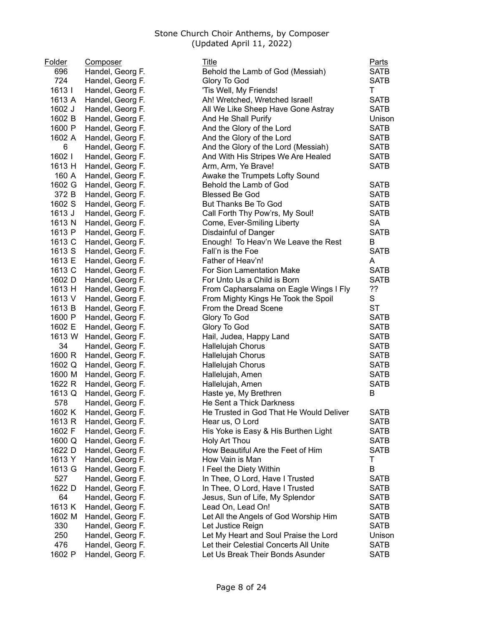| Folder | Composer         | Title                                                                           | <b>Parts</b>               |
|--------|------------------|---------------------------------------------------------------------------------|----------------------------|
| 696    | Handel, Georg F. | Behold the Lamb of God (Messiah)                                                | <b>SATB</b>                |
| 724    | Handel, Georg F. | Glory To God                                                                    | <b>SATB</b>                |
| 1613   | Handel, Georg F. | 'Tis Well, My Friends!                                                          | T                          |
| 1613 A | Handel, Georg F. | Ah! Wretched, Wretched Israel!                                                  | <b>SATB</b>                |
| 1602 J | Handel, Georg F. | All We Like Sheep Have Gone Astray                                              | <b>SATB</b>                |
| 1602 B | Handel, Georg F. | And He Shall Purify                                                             | Unison                     |
| 1600 P | Handel, Georg F. | And the Glory of the Lord                                                       | <b>SATB</b>                |
| 1602 A | Handel, Georg F. | And the Glory of the Lord                                                       | <b>SATB</b>                |
| 6      | Handel, Georg F. | And the Glory of the Lord (Messiah)                                             | <b>SATB</b>                |
| 1602   | Handel, Georg F. | And With His Stripes We Are Healed                                              | <b>SATB</b>                |
| 1613 H | Handel, Georg F. | Arm, Arm, Ye Brave!                                                             | <b>SATB</b>                |
| 160 A  | Handel, Georg F. | Awake the Trumpets Lofty Sound                                                  |                            |
| 1602 G | Handel, Georg F. | Behold the Lamb of God                                                          | <b>SATB</b>                |
| 372 B  | Handel, Georg F. | <b>Blessed Be God</b>                                                           | <b>SATB</b>                |
| 1602 S | Handel, Georg F. | But Thanks Be To God                                                            | <b>SATB</b>                |
| 1613 J | Handel, Georg F. | Call Forth Thy Pow'rs, My Soul!                                                 | <b>SATB</b>                |
| 1613 N | Handel, Georg F. | Come, Ever-Smiling Liberty                                                      | <b>SA</b>                  |
| 1613 P | Handel, Georg F. | Disdainful of Danger                                                            | <b>SATB</b>                |
| 1613 C | Handel, Georg F. | Enough! To Heav'n We Leave the Rest                                             | B                          |
| 1613 S | Handel, Georg F. | Fall'n is the Foe                                                               | <b>SATB</b>                |
| 1613 E | Handel, Georg F. | Father of Heav'n!                                                               | A                          |
| 1613 C | Handel, Georg F. | For Sion Lamentation Make                                                       | <b>SATB</b>                |
| 1602 D | Handel, Georg F. | For Unto Us a Child is Born                                                     | <b>SATB</b>                |
| 1613 H | Handel, Georg F. | From Capharsalama on Eagle Wings I Fly                                          | ??                         |
| 1613 V | Handel, Georg F. | From Mighty Kings He Took the Spoil                                             | S                          |
| 1613 B | Handel, Georg F. | From the Dread Scene                                                            | <b>ST</b>                  |
| 1600 P | Handel, Georg F. | Glory To God                                                                    | <b>SATB</b>                |
| 1602 E | Handel, Georg F. | Glory To God                                                                    | <b>SATB</b>                |
| 1613 W | Handel, Georg F. | Hail, Judea, Happy Land                                                         | <b>SATB</b>                |
| 34     | Handel, Georg F. | Hallelujah Chorus                                                               | <b>SATB</b>                |
| 1600 R | Handel, Georg F. | Hallelujah Chorus                                                               | <b>SATB</b>                |
| 1602 Q | Handel, Georg F. | Hallelujah Chorus                                                               | <b>SATB</b>                |
| 1600 M | Handel, Georg F. | Hallelujah, Amen                                                                | <b>SATB</b>                |
| 1622 R | Handel, Georg F. | Hallelujah, Amen                                                                | <b>SATB</b>                |
| 1613 Q | Handel, Georg F. | Haste ye, My Brethren                                                           | B                          |
| 578    | Handel, Georg F. | He Sent a Thick Darkness                                                        |                            |
| 1602 K | Handel, Georg F. | He Trusted in God That He Would Deliver                                         | <b>SATB</b>                |
| 1613 R | Handel, Georg F. | Hear us, O Lord                                                                 | <b>SATB</b>                |
| 1602 F | Handel, Georg F. | His Yoke is Easy & His Burthen Light                                            | <b>SATB</b>                |
| 1600 Q | Handel, Georg F. | Holy Art Thou                                                                   | <b>SATB</b>                |
| 1622 D | Handel, Georg F. | How Beautiful Are the Feet of Him                                               | <b>SATB</b>                |
| 1613 Y | Handel, Georg F. | How Vain is Man                                                                 | Τ                          |
| 1613 G | Handel, Georg F. | I Feel the Diety Within                                                         | B                          |
| 527    | Handel, Georg F. | In Thee, O Lord, Have I Trusted                                                 | <b>SATB</b>                |
| 1622 D | Handel, Georg F. | In Thee, O Lord, Have I Trusted                                                 | <b>SATB</b>                |
| 64     | Handel, Georg F. | Jesus, Sun of Life, My Splendor                                                 | <b>SATB</b>                |
| 1613 K |                  |                                                                                 |                            |
| 1602 M | Handel, Georg F. | Lead On, Lead On!                                                               | <b>SATB</b><br><b>SATB</b> |
|        | Handel, Georg F. | Let All the Angels of God Worship Him                                           |                            |
| 330    | Handel, Georg F. | Let Justice Reign                                                               | <b>SATB</b>                |
| 250    | Handel, Georg F. | Let My Heart and Soul Praise the Lord<br>Let their Celestial Concerts All Unite | Unison                     |
| 476    | Handel, Georg F. |                                                                                 | <b>SATB</b>                |
| 1602 P | Handel, Georg F. | Let Us Break Their Bonds Asunder                                                | <b>SATB</b>                |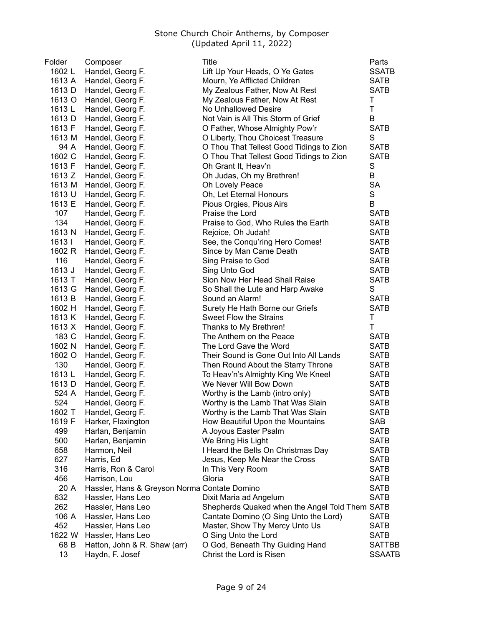| <b>Folder</b> | <b>Composer</b>                              | Title                                          | <b>Parts</b>  |
|---------------|----------------------------------------------|------------------------------------------------|---------------|
| 1602L         | Handel, Georg F.                             | Lift Up Your Heads, O Ye Gates                 | <b>SSATB</b>  |
| 1613 A        | Handel, Georg F.                             | Mourn, Ye Afflicted Children                   | <b>SATB</b>   |
| 1613 D        | Handel, Georg F.                             | My Zealous Father, Now At Rest                 | <b>SATB</b>   |
| 1613 O        | Handel, Georg F.                             | My Zealous Father, Now At Rest                 | Т             |
| 1613 L        | Handel, Georg F.                             | No Unhallowed Desire                           | T             |
| 1613 D        | Handel, Georg F.                             | Not Vain is All This Storm of Grief            | B             |
| 1613 F        | Handel, Georg F.                             | O Father, Whose Almighty Pow'r                 | <b>SATB</b>   |
| 1613 M        | Handel, Georg F.                             | O Liberty, Thou Choicest Treasure              | S             |
| 94 A          | Handel, Georg F.                             | O Thou That Tellest Good Tidings to Zion       | <b>SATB</b>   |
| 1602 C        | Handel, Georg F.                             | O Thou That Tellest Good Tidings to Zion       | <b>SATB</b>   |
| 1613 F        | Handel, Georg F.                             | Oh Grant It, Heav'n                            | S             |
| 1613 Z        | Handel, Georg F.                             | Oh Judas, Oh my Brethren!                      | B             |
| 1613 M        |                                              |                                                | <b>SA</b>     |
|               | Handel, Georg F.                             | Oh Lovely Peace                                | S             |
| 1613 U        | Handel, Georg F.                             | Oh, Let Eternal Honours                        | B             |
| 1613 E        | Handel, Georg F.                             | Pious Orgies, Pious Airs                       |               |
| 107           | Handel, Georg F.                             | Praise the Lord                                | <b>SATB</b>   |
| 134           | Handel, Georg F.                             | Praise to God, Who Rules the Earth             | <b>SATB</b>   |
| 1613 N        | Handel, Georg F.                             | Rejoice, Oh Judah!                             | <b>SATB</b>   |
| 1613          | Handel, Georg F.                             | See, the Conqu'ring Hero Comes!                | <b>SATB</b>   |
| 1602 R        | Handel, Georg F.                             | Since by Man Came Death                        | <b>SATB</b>   |
| 116           | Handel, Georg F.                             | Sing Praise to God                             | <b>SATB</b>   |
| 1613 J        | Handel, Georg F.                             | Sing Unto God                                  | <b>SATB</b>   |
| 1613 T        | Handel, Georg F.                             | Sion Now Her Head Shall Raise                  | <b>SATB</b>   |
| 1613 G        | Handel, Georg F.                             | So Shall the Lute and Harp Awake               | S             |
| 1613 B        | Handel, Georg F.                             | Sound an Alarm!                                | <b>SATB</b>   |
| 1602 H        | Handel, Georg F.                             | Surety He Hath Borne our Griefs                | <b>SATB</b>   |
| 1613 K        | Handel, Georg F.                             | Sweet Flow the Strains                         | Τ             |
| 1613 X        | Handel, Georg F.                             | Thanks to My Brethren!                         | T             |
| 183 C         | Handel, Georg F.                             | The Anthem on the Peace                        | <b>SATB</b>   |
| 1602 N        | Handel, Georg F.                             | The Lord Gave the Word                         | <b>SATB</b>   |
| 1602 O        | Handel, Georg F.                             | Their Sound is Gone Out Into All Lands         | <b>SATB</b>   |
| 130           | Handel, Georg F.                             | Then Round About the Starry Throne             | <b>SATB</b>   |
| 1613 L        | Handel, Georg F.                             | To Heav'n's Almighty King We Kneel             | <b>SATB</b>   |
| 1613 D        | Handel, Georg F.                             | We Never Will Bow Down                         | <b>SATB</b>   |
| 524 A         | Handel, Georg F.                             | Worthy is the Lamb (intro only)                | <b>SATB</b>   |
| 524           | Handel, Georg F.                             | Worthy is the Lamb That Was Slain              | <b>SATB</b>   |
| 1602 T        | Handel, Georg F.                             | Worthy is the Lamb That Was Slain              | <b>SATB</b>   |
| 1619 F        | Harker, Flaxington                           | How Beautiful Upon the Mountains               | SAB           |
| 499           | Harlan, Benjamin                             | A Joyous Easter Psalm                          | <b>SATB</b>   |
| 500           | Harlan, Benjamin                             | We Bring His Light                             | <b>SATB</b>   |
| 658           | Harmon, Neil                                 | I Heard the Bells On Christmas Day             | <b>SATB</b>   |
| 627           | Harris, Ed                                   | Jesus, Keep Me Near the Cross                  | <b>SATB</b>   |
| 316           | Harris, Ron & Carol                          | In This Very Room                              | <b>SATB</b>   |
| 456           | Harrison, Lou                                | Gloria                                         | <b>SATB</b>   |
| 20 A          | Hassler, Hans & Greyson Norma Contate Domino |                                                | <b>SATB</b>   |
| 632           | Hassler, Hans Leo                            | Dixit Maria ad Angelum                         | <b>SATB</b>   |
| 262           | Hassler, Hans Leo                            | Shepherds Quaked when the Angel Told Them SATB |               |
| 106 A         | Hassler, Hans Leo                            | Cantate Domino (O Sing Unto the Lord)          | <b>SATB</b>   |
| 452           | Hassler, Hans Leo                            | Master, Show Thy Mercy Unto Us                 | <b>SATB</b>   |
| 1622 W        | Hassler, Hans Leo                            | O Sing Unto the Lord                           | <b>SATB</b>   |
| 68 B          | Hatton, John & R. Shaw (arr)                 | O God, Beneath Thy Guiding Hand                | <b>SATTBB</b> |
| 13            | Haydn, F. Josef                              | Christ the Lord is Risen                       | <b>SSAATB</b> |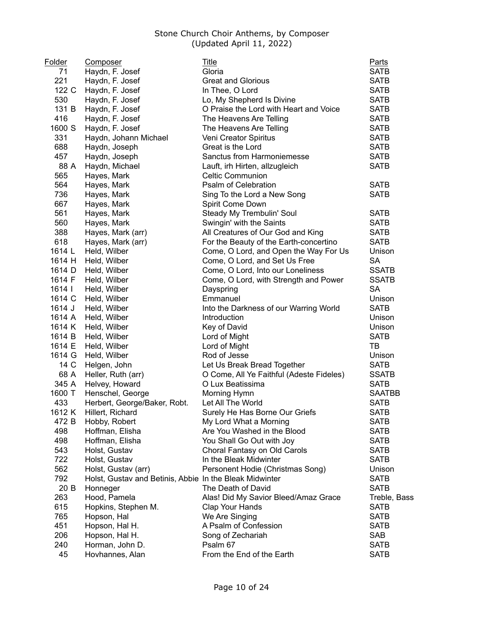| <b>Folder</b> | <b>Composer</b>                                         | <b>Title</b>                             | <b>Parts</b>  |
|---------------|---------------------------------------------------------|------------------------------------------|---------------|
| 71            | Haydn, F. Josef                                         | Gloria                                   | <b>SATB</b>   |
| 221           | Haydn, F. Josef                                         | <b>Great and Glorious</b>                | <b>SATB</b>   |
| 122 C         | Haydn, F. Josef                                         | In Thee, O Lord                          | <b>SATB</b>   |
| 530           | Haydn, F. Josef                                         | Lo, My Shepherd Is Divine                | <b>SATB</b>   |
| 131 B         | Haydn, F. Josef                                         | O Praise the Lord with Heart and Voice   | <b>SATB</b>   |
| 416           | Haydn, F. Josef                                         | The Heavens Are Telling                  | <b>SATB</b>   |
| 1600 S        | Haydn, F. Josef                                         | The Heavens Are Telling                  | <b>SATB</b>   |
| 331           | Haydn, Johann Michael                                   | Veni Creator Spiritus                    | <b>SATB</b>   |
| 688           | Haydn, Joseph                                           | Great is the Lord                        | <b>SATB</b>   |
| 457           | Haydn, Joseph                                           | Sanctus from Harmoniemesse               | <b>SATB</b>   |
| 88 A          | Haydn, Michael                                          | Lauft, irh Hirten, allzugleich           | <b>SATB</b>   |
| 565           | Hayes, Mark                                             | <b>Celtic Communion</b>                  |               |
| 564           | Hayes, Mark                                             | Psalm of Celebration                     | <b>SATB</b>   |
| 736           | Hayes, Mark                                             | Sing To the Lord a New Song              | <b>SATB</b>   |
| 667           | Hayes, Mark                                             | Spirit Come Down                         |               |
| 561           | Hayes, Mark                                             | Steady My Trembulin' Soul                | <b>SATB</b>   |
| 560           | Hayes, Mark                                             | Swingin' with the Saints                 | <b>SATB</b>   |
| 388           | Hayes, Mark (arr)                                       | All Creatures of Our God and King        | <b>SATB</b>   |
| 618           | Hayes, Mark (arr)                                       | For the Beauty of the Earth-concertino   | <b>SATB</b>   |
| 1614 L        | Held, Wilber                                            | Come, O Lord, and Open the Way For Us    | Unison        |
| 1614 H        | Held, Wilber                                            | Come, O Lord, and Set Us Free            | <b>SA</b>     |
| 1614 D        | Held, Wilber                                            | Come, O Lord, Into our Loneliness        | <b>SSATB</b>  |
| 1614 F        | Held, Wilber                                            | Come, O Lord, with Strength and Power    | <b>SSATB</b>  |
| 1614          | Held, Wilber                                            | Dayspring                                | SA            |
| 1614 C        | Held, Wilber                                            | Emmanuel                                 | Unison        |
| 1614 J        | Held, Wilber                                            | Into the Darkness of our Warring World   | <b>SATB</b>   |
| 1614 A        | Held, Wilber                                            | Introduction                             | Unison        |
| 1614 K        | Held, Wilber                                            | Key of David                             | Unison        |
| 1614 B        | Held, Wilber                                            | Lord of Might                            | <b>SATB</b>   |
| 1614 E        | Held, Wilber                                            | Lord of Might                            | TB            |
| 1614 G        | Held, Wilber                                            | Rod of Jesse                             | Unison        |
| 14 C          | Helgen, John                                            | Let Us Break Bread Together              | <b>SATB</b>   |
| 68 A          | Heller, Ruth (arr)                                      | O Come, All Ye Faithful (Adeste Fideles) | <b>SSATB</b>  |
| 345 A         | Helvey, Howard                                          | O Lux Beatissima                         | <b>SATB</b>   |
| 1600 T        | Henschel, George                                        | Morning Hymn                             | <b>SAATBB</b> |
| 433           | Herbert, George/Baker, Robt.                            | Let All The World                        | <b>SATB</b>   |
| 1612 K        | Hillert, Richard                                        | Surely He Has Borne Our Griefs           | <b>SATB</b>   |
| 472 B         | Hobby, Robert                                           | My Lord What a Morning                   | <b>SATB</b>   |
| 498           | Hoffman, Elisha                                         | Are You Washed in the Blood              | <b>SATB</b>   |
| 498           | Hoffman, Elisha                                         | You Shall Go Out with Joy                | <b>SATB</b>   |
| 543           | Holst, Gustav                                           | Choral Fantasy on Old Carols             | <b>SATB</b>   |
| 722           | Holst, Gustav                                           | In the Bleak Midwinter                   | <b>SATB</b>   |
| 562           | Holst, Gustav (arr)                                     | Personent Hodie (Christmas Song)         | Unison        |
| 792           | Holst, Gustav and Betinis, Abbie In the Bleak Midwinter |                                          | <b>SATB</b>   |
| 20 B          | Honneger                                                | The Death of David                       | <b>SATB</b>   |
| 263           | Hood, Pamela                                            | Alas! Did My Savior Bleed/Amaz Grace     | Treble, Bass  |
| 615           | Hopkins, Stephen M.                                     | Clap Your Hands                          | <b>SATB</b>   |
| 765           |                                                         | We Are Singing                           | <b>SATB</b>   |
| 451           | Hopson, Hal                                             |                                          |               |
|               | Hopson, Hal H.                                          | A Psalm of Confession                    | <b>SATB</b>   |
| 206           | Hopson, Hal H.                                          | Song of Zechariah                        | SAB           |
| 240           | Horman, John D.                                         | Psalm 67                                 | <b>SATB</b>   |
| 45            | Hovhannes, Alan                                         | From the End of the Earth                | <b>SATB</b>   |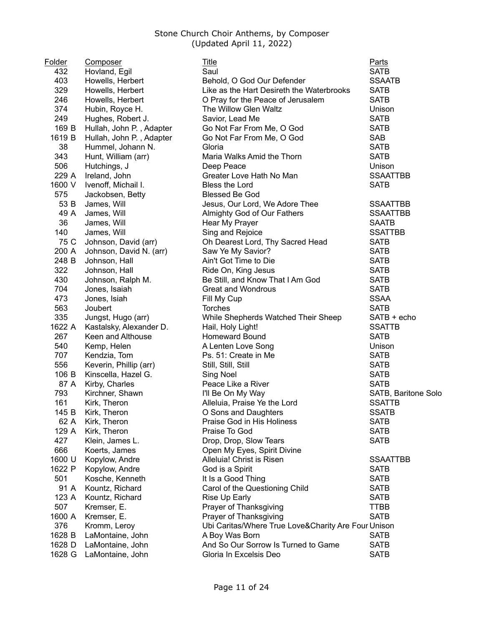| Folder        | <b>Composer</b>                  | <u>Title</u>                                        | <u>Parts</u>         |
|---------------|----------------------------------|-----------------------------------------------------|----------------------|
| 432           | Hovland, Egil                    | Saul                                                | <b>SATB</b>          |
| 403           | Howells, Herbert                 | Behold, O God Our Defender                          | <b>SSAATB</b>        |
| 329           | Howells, Herbert                 | Like as the Hart Desireth the Waterbrooks           | <b>SATB</b>          |
| 246           | Howells, Herbert                 | O Pray for the Peace of Jerusalem                   | <b>SATB</b>          |
| 374           | Hubin, Royce H.                  | The Willow Glen Waltz                               | Unison               |
| 249           | Hughes, Robert J.                | Savior, Lead Me                                     | <b>SATB</b>          |
| 169 B         | Hullah, John P., Adapter         | Go Not Far From Me, O God                           | <b>SATB</b>          |
| 1619 B        | Hullah, John P., Adapter         | Go Not Far From Me, O God                           | <b>SAB</b>           |
| 38            | Hummel, Johann N.                | Gloria                                              | <b>SATB</b>          |
| 343           | Hunt, William (arr)              | Maria Walks Amid the Thorn                          | <b>SATB</b>          |
| 506           | Hutchings, J                     | Deep Peace                                          | Unison               |
| 229 A         | Ireland, John                    | Greater Love Hath No Man                            | <b>SSAATTBB</b>      |
| 1600 V        | Ivenoff, Michail I.              | Bless the Lord                                      | <b>SATB</b>          |
| 575           | Jackobsen, Betty                 | <b>Blessed Be God</b>                               |                      |
| 53 B          | James, Will                      | Jesus, Our Lord, We Adore Thee                      | <b>SSAATTBB</b>      |
| 49 A          | James, Will                      | Almighty God of Our Fathers                         | <b>SSAATTBB</b>      |
| 36            | James, Will                      | Hear My Prayer                                      | <b>SAATB</b>         |
| 140           | James, Will                      | Sing and Rejoice                                    | <b>SSATTBB</b>       |
| 75 C          | Johnson, David (arr)             | Oh Dearest Lord, Thy Sacred Head                    | <b>SATB</b>          |
| 200 A         | Johnson, David N. (arr)          | Saw Ye My Savior?                                   | <b>SATB</b>          |
| 248 B         | Johnson, Hall                    | Ain't Got Time to Die                               | <b>SATB</b>          |
| 322           | Johnson, Hall                    | Ride On, King Jesus                                 | <b>SATB</b>          |
| 430           | Johnson, Ralph M.                | Be Still, and Know That I Am God                    | <b>SATB</b>          |
| 704           | Jones, Isaiah                    | <b>Great and Wondrous</b>                           | <b>SATB</b>          |
| 473           | Jones, Isiah                     | Fill My Cup                                         | <b>SSAA</b>          |
| 563           | Joubert                          | Torches                                             | <b>SATB</b>          |
| 335           | Jungst, Hugo (arr)               | While Shepherds Watched Their Sheep                 | SATB + echo          |
| 1622 A        | Kastalsky, Alexander D.          | Hail, Holy Light!                                   | <b>SSATTB</b>        |
| 267           | Keen and Althouse                | Homeward Bound                                      | <b>SATB</b>          |
| 540           | Kemp, Helen                      | A Lenten Love Song                                  | Unison               |
| 707           | Kendzia, Tom                     | Ps. 51: Create in Me                                | <b>SATB</b>          |
| 556           | Keverin, Phillip (arr)           | Still, Still, Still                                 | <b>SATB</b>          |
| 106 B         | Kinscella, Hazel G.              | Sing Noel                                           | <b>SATB</b>          |
| 87 A          | Kirby, Charles                   | Peace Like a River                                  | <b>SATB</b>          |
| 793           | Kirchner, Shawn                  | I'll Be On My Way                                   | SATB, Baritone Solo  |
| 161           | Kirk, Theron                     | Alleluia, Praise Ye the Lord                        | <b>SSATTB</b>        |
|               |                                  | O Sons and Daughters                                |                      |
| 145 B<br>62 A | Kirk, Theron                     | Praise God in His Holiness                          | SSATB<br><b>SATB</b> |
| 129 A         | Kirk, Theron<br>Kirk, Theron     | Praise To God                                       | <b>SATB</b>          |
| 427           |                                  | Drop, Drop, Slow Tears                              | <b>SATB</b>          |
| 666           | Klein, James L.<br>Koerts, James |                                                     |                      |
| 1600 U        |                                  | Open My Eyes, Spirit Divine                         |                      |
|               | Kopylow, Andre                   | Alleluia! Christ is Risen                           | <b>SSAATTBB</b>      |
| 1622 P        | Kopylow, Andre                   | God is a Spirit                                     | <b>SATB</b>          |
| 501           | Kosche, Kenneth                  | It Is a Good Thing                                  | <b>SATB</b>          |
| 91 A          | Kountz, Richard                  | Carol of the Questioning Child                      | <b>SATB</b>          |
| 123 A         | Kountz, Richard                  | Rise Up Early                                       | <b>SATB</b>          |
| 507           | Kremser, E.                      | Prayer of Thanksgiving                              | <b>TTBB</b>          |
| 1600 A        | Kremser, E.                      | Prayer of Thanksgiving                              | <b>SATB</b>          |
| 376           | Kromm, Leroy                     | Ubi Caritas/Where True Love&Charity Are Four Unison |                      |
| 1628 B        | LaMontaine, John                 | A Boy Was Born                                      | <b>SATB</b>          |
| 1628 D        | LaMontaine, John                 | And So Our Sorrow Is Turned to Game                 | <b>SATB</b>          |
| 1628 G        | LaMontaine, John                 | Gloria In Excelsis Deo                              | <b>SATB</b>          |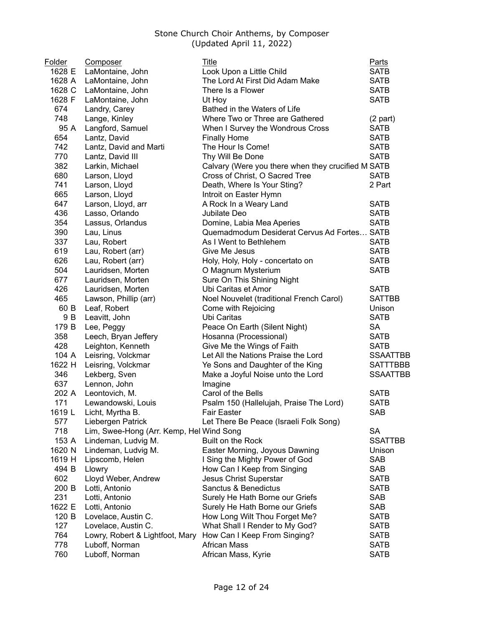| Folder | <b>Composer</b>                          | Title                                              | <b>Parts</b>    |
|--------|------------------------------------------|----------------------------------------------------|-----------------|
| 1628 E | LaMontaine, John                         | Look Upon a Little Child                           | <b>SATB</b>     |
| 1628 A | LaMontaine, John                         | The Lord At First Did Adam Make                    | <b>SATB</b>     |
| 1628 C | LaMontaine, John                         | There Is a Flower                                  | <b>SATB</b>     |
| 1628 F | LaMontaine, John                         | Ut Hoy                                             | <b>SATB</b>     |
| 674    | Landry, Carey                            | Bathed in the Waters of Life                       |                 |
| 748    | Lange, Kinley                            | Where Two or Three are Gathered                    | $(2$ part)      |
| 95 A   | Langford, Samuel                         | When I Survey the Wondrous Cross                   | <b>SATB</b>     |
| 654    | Lantz, David                             | <b>Finally Home</b>                                | <b>SATB</b>     |
| 742    | Lantz, David and Marti                   | The Hour Is Come!                                  | <b>SATB</b>     |
| 770    | Lantz, David III                         | Thy Will Be Done                                   | <b>SATB</b>     |
| 382    | Larkin, Michael                          | Calvary (Were you there when they crucified M SATB |                 |
| 680    | Larson, Lloyd                            | Cross of Christ, O Sacred Tree                     | <b>SATB</b>     |
| 741    | Larson, Lloyd                            | Death, Where Is Your Sting?                        | 2 Part          |
| 665    | Larson, Lloyd                            | Introit on Easter Hymn                             |                 |
| 647    | Larson, Lloyd, arr                       | A Rock In a Weary Land                             | <b>SATB</b>     |
| 436    | Lasso, Orlando                           | Jubilate Deo                                       | <b>SATB</b>     |
| 354    | Lassus, Orlandus                         | Domine, Labia Mea Aperies                          | <b>SATB</b>     |
| 390    | Lau, Linus                               | Quemadmodum Desiderat Cervus Ad Fortes SATB        |                 |
| 337    | Lau, Robert                              | As I Went to Bethlehem                             | <b>SATB</b>     |
| 619    | Lau, Robert (arr)                        | Give Me Jesus                                      | <b>SATB</b>     |
| 626    | Lau, Robert (arr)                        | Holy, Holy, Holy - concertato on                   | <b>SATB</b>     |
| 504    | Lauridsen, Morten                        | O Magnum Mysterium                                 | <b>SATB</b>     |
| 677    | Lauridsen, Morten                        | Sure On This Shining Night                         |                 |
| 426    | Lauridsen, Morten                        | Ubi Caritas et Amor                                | <b>SATB</b>     |
| 465    | Lawson, Phillip (arr)                    | Noel Nouvelet (traditional French Carol)           | <b>SATTBB</b>   |
| 60 B   | Leaf, Robert                             | Come with Rejoicing                                | Unison          |
| 9 B    | Leavitt, John                            | Ubi Caritas                                        | <b>SATB</b>     |
| 179 B  | Lee, Peggy                               | Peace On Earth (Silent Night)                      | <b>SA</b>       |
| 358    | Leech, Bryan Jeffery                     | Hosanna (Processional)                             | <b>SATB</b>     |
| 428    | Leighton, Kenneth                        | Give Me the Wings of Faith                         | <b>SATB</b>     |
| 104 A  | Leisring, Volckmar                       | Let All the Nations Praise the Lord                | <b>SSAATTBB</b> |
| 1622 H | Leisring, Volckmar                       | Ye Sons and Daughter of the King                   | <b>SATTTBBB</b> |
| 346    | Lekberg, Sven                            | Make a Joyful Noise unto the Lord                  | <b>SSAATTBB</b> |
| 637    | Lennon, John                             | Imagine                                            |                 |
| 202 A  | Leontovich, M.                           | Carol of the Bells                                 | <b>SATB</b>     |
| 171    | Lewandowski, Louis                       | Psalm 150 (Hallelujah, Praise The Lord)            | <b>SATB</b>     |
| 1619 L | Licht, Myrtha B.                         | <b>Fair Easter</b>                                 | SAB             |
| 577    | Liebergen Patrick                        | Let There Be Peace (Israeli Folk Song)             |                 |
| 718    | Lim, Swee-Hong (Arr. Kemp, Hel Wind Song |                                                    | <b>SA</b>       |
| 153 A  | Lindeman, Ludvig M.                      | Built on the Rock                                  | <b>SSATTBB</b>  |
| 1620 N | Lindeman, Ludvig M.                      | Easter Morning, Joyous Dawning                     | Unison          |
| 1619 H | Lipscomb, Helen                          | I Sing the Mighty Power of God                     | <b>SAB</b>      |
| 494 B  | Llowry                                   | How Can I Keep from Singing                        | <b>SAB</b>      |
| 602    | Lloyd Weber, Andrew                      | <b>Jesus Christ Superstar</b>                      | <b>SATB</b>     |
| 200 B  | Lotti, Antonio                           | Sanctus & Benedictus                               | <b>SATB</b>     |
| 231    | Lotti, Antonio                           | Surely He Hath Borne our Griefs                    | <b>SAB</b>      |
| 1622 E | Lotti, Antonio                           | Surely He Hath Borne our Griefs                    | <b>SAB</b>      |
| 120 B  | Lovelace, Austin C.                      | How Long Wilt Thou Forget Me?                      | <b>SATB</b>     |
| 127    | Lovelace, Austin C.                      | What Shall I Render to My God?                     | <b>SATB</b>     |
| 764    | Lowry, Robert & Lightfoot, Mary          | How Can I Keep From Singing?                       | <b>SATB</b>     |
| 778    | Luboff, Norman                           | <b>African Mass</b>                                | <b>SATB</b>     |
| 760    | Luboff, Norman                           | African Mass, Kyrie                                | <b>SATB</b>     |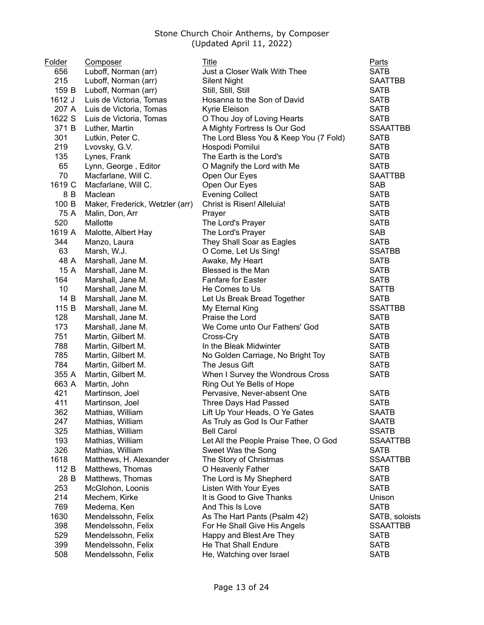| Folder | Composer                               | Title                                  | Parts                         |
|--------|----------------------------------------|----------------------------------------|-------------------------------|
| 656    | Luboff, Norman (arr)                   | Just a Closer Walk With Thee           | <b>SATB</b>                   |
| 215    | Luboff, Norman (arr)                   | <b>Silent Night</b>                    | <b>SAATTBB</b>                |
| 159 B  | Luboff, Norman (arr)                   | Still, Still, Still                    | <b>SATB</b>                   |
| 1612 J | Luis de Victoria, Tomas                | Hosanna to the Son of David            | <b>SATB</b>                   |
| 207 A  | Luis de Victoria, Tomas                | Kyrie Eleison                          | <b>SATB</b>                   |
| 1622 S | Luis de Victoria, Tomas                | O Thou Joy of Loving Hearts            | <b>SATB</b>                   |
| 371 B  | Luther, Martin                         | A Mighty Fortress Is Our God           | <b>SSAATTBB</b>               |
| 301    | Lutkin, Peter C.                       | The Lord Bless You & Keep You (7 Fold) | <b>SATB</b>                   |
| 219    | Lvovsky, G.V.                          | Hospodi Pomilui                        | <b>SATB</b>                   |
| 135    | Lynes, Frank                           | The Earth is the Lord's                | <b>SATB</b>                   |
| 65     | Lynn, George, Editor                   | O Magnify the Lord with Me             | <b>SATB</b>                   |
| 70     | Macfarlane, Will C.                    | Open Our Eyes                          | <b>SAATTBB</b>                |
| 1619 C | Macfarlane, Will C.                    | Open Our Eyes                          | <b>SAB</b>                    |
| 8 B    | Maclean                                | <b>Evening Collect</b>                 | <b>SATB</b>                   |
| 100 B  | Maker, Frederick, Wetzler (arr)        | Christ is Risen! Alleluia!             | <b>SATB</b>                   |
| 75 A   | Malin, Don, Arr                        | Prayer                                 | <b>SATB</b>                   |
| 520    | Mallotte                               | The Lord's Prayer                      | <b>SATB</b>                   |
| 1619 A | Malotte, Albert Hay                    | The Lord's Prayer                      | <b>SAB</b>                    |
| 344    | Manzo, Laura                           | They Shall Soar as Eagles              | <b>SATB</b>                   |
| 63     | Marsh, W.J.                            | O Come, Let Us Sing!                   | <b>SSATBB</b>                 |
| 48 A   | Marshall, Jane M.                      |                                        | <b>SATB</b>                   |
| 15 A   |                                        | Awake, My Heart<br>Blessed is the Man  | <b>SATB</b>                   |
| 164    | Marshall, Jane M.<br>Marshall, Jane M. | <b>Fanfare for Easter</b>              |                               |
| 10     |                                        |                                        | <b>SATB</b>                   |
| 14 B   | Marshall, Jane M.                      | He Comes to Us                         | <b>SATTB</b>                  |
| 115 B  | Marshall, Jane M.                      | Let Us Break Bread Together            | <b>SATB</b><br><b>SSATTBB</b> |
| 128    | Marshall, Jane M.                      | My Eternal King                        |                               |
| 173    | Marshall, Jane M.                      | Praise the Lord                        | <b>SATB</b>                   |
|        | Marshall, Jane M.                      | We Come unto Our Fathers' God          | <b>SATB</b>                   |
| 751    | Martin, Gilbert M.                     | Cross-Cry                              | <b>SATB</b>                   |
| 788    | Martin, Gilbert M.                     | In the Bleak Midwinter                 | <b>SATB</b>                   |
| 785    | Martin, Gilbert M.                     | No Golden Carriage, No Bright Toy      | <b>SATB</b>                   |
| 784    | Martin, Gilbert M.                     | The Jesus Gift                         | <b>SATB</b>                   |
| 355 A  | Martin, Gilbert M.                     | When I Survey the Wondrous Cross       | <b>SATB</b>                   |
| 663 A  | Martin, John                           | Ring Out Ye Bells of Hope              |                               |
| 421    | Martinson, Joel                        | Pervasive, Never-absent One            | <b>SATB</b>                   |
| 411    | Martinson, Joel                        | Three Days Had Passed                  | <b>SATB</b>                   |
| 362    | Mathias, William                       | Lift Up Your Heads, O Ye Gates         | SAATB                         |
| 247    | Mathias, William                       | As Truly as God Is Our Father          | <b>SAATB</b>                  |
| 325    | Mathias, William                       | <b>Bell Carol</b>                      | <b>SSATB</b>                  |
| 193    | Mathias, William                       | Let All the People Praise Thee, O God  | <b>SSAATTBB</b>               |
| 326    | Mathias, William                       | Sweet Was the Song                     | <b>SATB</b>                   |
| 1618   | Matthews, H. Alexander                 | The Story of Christmas                 | <b>SSAATTBB</b>               |
| 112 B  | Matthews, Thomas                       | O Heavenly Father                      | <b>SATB</b>                   |
| 28 B   | Matthews, Thomas                       | The Lord is My Shepherd                | <b>SATB</b>                   |
| 253    | McGlohon, Loonis                       | Listen With Your Eyes                  | <b>SATB</b>                   |
| 214    | Mechem, Kirke                          | It is Good to Give Thanks              | Unison                        |
| 769    | Medema, Ken                            | And This Is Love                       | <b>SATB</b>                   |
| 1630   | Mendelssohn, Felix                     | As The Hart Pants (Psalm 42)           | SATB, soloists                |
| 398    | Mendelssohn, Felix                     | For He Shall Give His Angels           | <b>SSAATTBB</b>               |
| 529    | Mendelssohn, Felix                     | Happy and Blest Are They               | <b>SATB</b>                   |
| 399    | Mendelssohn, Felix                     | He That Shall Endure                   | <b>SATB</b>                   |
| 508    | Mendelssohn, Felix                     | He, Watching over Israel               | <b>SATB</b>                   |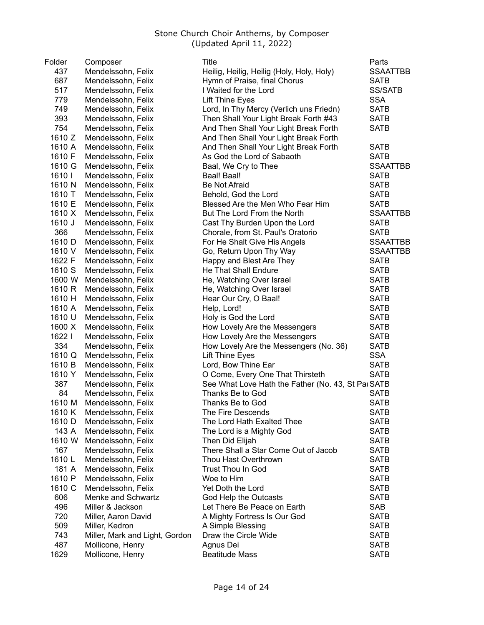| Folder | Composer                       | Title                                              | <b>Parts</b>    |
|--------|--------------------------------|----------------------------------------------------|-----------------|
| 437    | Mendelssohn, Felix             | Heilig, Heilig, Heilig (Holy, Holy, Holy)          | <b>SSAATTBB</b> |
| 687    | Mendelssohn, Felix             | Hymn of Praise, final Chorus                       | <b>SATB</b>     |
| 517    | Mendelssohn, Felix             | I Waited for the Lord                              | <b>SS/SATB</b>  |
| 779    | Mendelssohn, Felix             | <b>Lift Thine Eyes</b>                             | <b>SSA</b>      |
| 749    | Mendelssohn, Felix             | Lord, In Thy Mercy (Verlich uns Friedn)            | <b>SATB</b>     |
| 393    | Mendelssohn, Felix             | Then Shall Your Light Break Forth #43              | <b>SATB</b>     |
| 754    | Mendelssohn, Felix             | And Then Shall Your Light Break Forth              | <b>SATB</b>     |
| 1610 Z | Mendelssohn, Felix             | And Then Shall Your Light Break Forth              |                 |
| 1610 A | Mendelssohn, Felix             | And Then Shall Your Light Break Forth              | <b>SATB</b>     |
| 1610 F | Mendelssohn, Felix             | As God the Lord of Sabaoth                         | <b>SATB</b>     |
| 1610 G | Mendelssohn, Felix             | Baal, We Cry to Thee                               | <b>SSAATTBB</b> |
| 1610   | Mendelssohn, Felix             | Baal! Baal!                                        | <b>SATB</b>     |
| 1610 N | Mendelssohn, Felix             | <b>Be Not Afraid</b>                               | <b>SATB</b>     |
| 1610 T | Mendelssohn, Felix             | Behold, God the Lord                               | <b>SATB</b>     |
| 1610 E | Mendelssohn, Felix             | Blessed Are the Men Who Fear Him                   | <b>SATB</b>     |
| 1610 X | Mendelssohn, Felix             | But The Lord From the North                        | <b>SSAATTBB</b> |
| 1610 J | Mendelssohn, Felix             | Cast Thy Burden Upon the Lord                      | <b>SATB</b>     |
| 366    | Mendelssohn, Felix             | Chorale, from St. Paul's Oratorio                  | <b>SATB</b>     |
| 1610 D | Mendelssohn, Felix             | For He Shalt Give His Angels                       | <b>SSAATTBB</b> |
| 1610 V | Mendelssohn, Felix             | Go, Return Upon Thy Way                            | <b>SSAATTBB</b> |
| 1622 F | Mendelssohn, Felix             | Happy and Blest Are They                           | <b>SATB</b>     |
| 1610 S | Mendelssohn, Felix             | He That Shall Endure                               | <b>SATB</b>     |
| 1600 W | Mendelssohn, Felix             | He, Watching Over Israel                           | <b>SATB</b>     |
| 1610 R | Mendelssohn, Felix             | He, Watching Over Israel                           | <b>SATB</b>     |
| 1610 H | Mendelssohn, Felix             | Hear Our Cry, O Baal!                              | <b>SATB</b>     |
| 1610 A | Mendelssohn, Felix             | Help, Lord!                                        | <b>SATB</b>     |
| 1610 U | Mendelssohn, Felix             | Holy is God the Lord                               | <b>SATB</b>     |
| 1600 X | Mendelssohn, Felix             | How Lovely Are the Messengers                      | <b>SATB</b>     |
| 1622   | Mendelssohn, Felix             | How Lovely Are the Messengers                      | <b>SATB</b>     |
| 334    | Mendelssohn, Felix             | How Lovely Are the Messengers (No. 36)             | <b>SATB</b>     |
| 1610 Q | Mendelssohn, Felix             | Lift Thine Eyes                                    | <b>SSA</b>      |
| 1610 B | Mendelssohn, Felix             | Lord, Bow Thine Ear                                | <b>SATB</b>     |
| 1610 Y | Mendelssohn, Felix             | O Come, Every One That Thirsteth                   | <b>SATB</b>     |
| 387    | Mendelssohn, Felix             | See What Love Hath the Father (No. 43, St Pai SATB |                 |
| 84     | Mendelssohn, Felix             | Thanks Be to God                                   | <b>SATB</b>     |
| 1610 M | Mendelssohn, Felix             | Thanks Be to God                                   | <b>SATB</b>     |
| 1610 K | Mendelssohn, Felix             | The Fire Descends                                  | <b>SATB</b>     |
| 1610 D | Mendelssohn, Felix             | The Lord Hath Exalted Thee                         | <b>SATB</b>     |
| 143 A  | Mendelssohn, Felix             | The Lord is a Mighty God                           | <b>SATB</b>     |
| 1610 W | Mendelssohn, Felix             | Then Did Elijah                                    | <b>SATB</b>     |
| 167    | Mendelssohn, Felix             | There Shall a Star Come Out of Jacob               | <b>SATB</b>     |
| 1610L  | Mendelssohn, Felix             | Thou Hast Overthrown                               | <b>SATB</b>     |
| 181 A  | Mendelssohn, Felix             | Trust Thou In God                                  | <b>SATB</b>     |
| 1610 P | Mendelssohn, Felix             | Woe to Him                                         | <b>SATB</b>     |
| 1610 C | Mendelssohn, Felix             | Yet Doth the Lord                                  | <b>SATB</b>     |
| 606    | Menke and Schwartz             | God Help the Outcasts                              | <b>SATB</b>     |
| 496    |                                |                                                    |                 |
| 720    | Miller & Jackson               | Let There Be Peace on Earth                        | SAB             |
|        | Miller, Aaron David            | A Mighty Fortress Is Our God                       | <b>SATB</b>     |
| 509    | Miller, Kedron                 | A Simple Blessing                                  | <b>SATB</b>     |
| 743    | Miller, Mark and Light, Gordon | Draw the Circle Wide                               | <b>SATB</b>     |
| 487    | Mollicone, Henry               | Agnus Dei                                          | <b>SATB</b>     |
| 1629   | Mollicone, Henry               | <b>Beatitude Mass</b>                              | <b>SATB</b>     |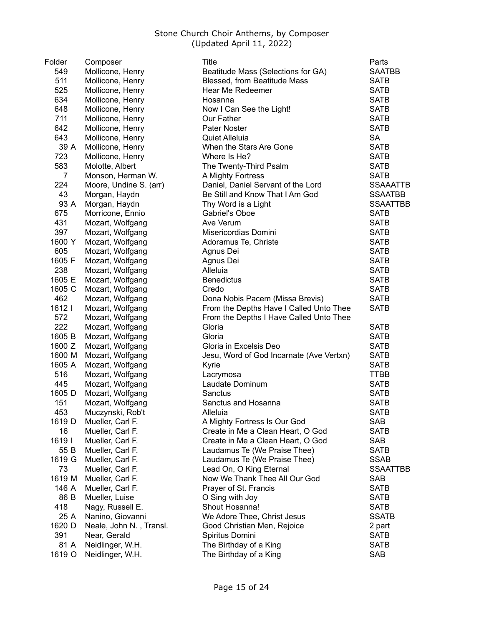| Folder | Composer                | Title                                    | Parts           |
|--------|-------------------------|------------------------------------------|-----------------|
| 549    | Mollicone, Henry        | Beatitude Mass (Selections for GA)       | <b>SAATBB</b>   |
| 511    | Mollicone, Henry        | Blessed, from Beatitude Mass             | <b>SATB</b>     |
| 525    | Mollicone, Henry        | Hear Me Redeemer                         | <b>SATB</b>     |
| 634    | Mollicone, Henry        | Hosanna                                  | <b>SATB</b>     |
| 648    | Mollicone, Henry        | Now I Can See the Light!                 | <b>SATB</b>     |
| 711    | Mollicone, Henry        | Our Father                               | <b>SATB</b>     |
| 642    | Mollicone, Henry        | Pater Noster                             | <b>SATB</b>     |
| 643    | Mollicone, Henry        | Quiet Alleluia                           | <b>SA</b>       |
| 39 A   | Mollicone, Henry        | When the Stars Are Gone                  | <b>SATB</b>     |
| 723    | Mollicone, Henry        | Where Is He?                             | <b>SATB</b>     |
| 583    | Molotte, Albert         | The Twenty-Third Psalm                   | <b>SATB</b>     |
| 7      | Monson, Herman W.       | A Mighty Fortress                        | <b>SATB</b>     |
| 224    | Moore, Undine S. (arr)  | Daniel, Daniel Servant of the Lord       | <b>SSAAATTB</b> |
| 43     | Morgan, Haydn           | Be Still and Know That I Am God          | <b>SSAATBB</b>  |
| 93 A   | Morgan, Haydn           | Thy Word is a Light                      | <b>SSAATTBB</b> |
| 675    | Morricone, Ennio        | Gabriel's Oboe                           | <b>SATB</b>     |
| 431    | Mozart, Wolfgang        | Ave Verum                                | <b>SATB</b>     |
| 397    | Mozart, Wolfgang        | Misericordias Domini                     | <b>SATB</b>     |
| 1600 Y | Mozart, Wolfgang        | Adoramus Te, Christe                     | <b>SATB</b>     |
| 605    | Mozart, Wolfgang        | Agnus Dei                                | <b>SATB</b>     |
| 1605 F | Mozart, Wolfgang        | Agnus Dei                                | <b>SATB</b>     |
| 238    | Mozart, Wolfgang        | Alleluia                                 | <b>SATB</b>     |
| 1605 E | Mozart, Wolfgang        | <b>Benedictus</b>                        | <b>SATB</b>     |
| 1605 C | Mozart, Wolfgang        | Credo                                    | <b>SATB</b>     |
| 462    | Mozart, Wolfgang        | Dona Nobis Pacem (Missa Brevis)          | <b>SATB</b>     |
| 1612   | Mozart, Wolfgang        | From the Depths Have I Called Unto Thee  | <b>SATB</b>     |
| 572    | Mozart, Wolfgang        | From the Depths I Have Called Unto Thee  |                 |
| 222    | Mozart, Wolfgang        | Gloria                                   | <b>SATB</b>     |
| 1605 B | Mozart, Wolfgang        | Gloria                                   | <b>SATB</b>     |
| 1600 Z | Mozart, Wolfgang        | Gloria in Excelsis Deo                   | <b>SATB</b>     |
| 1600 M | Mozart, Wolfgang        | Jesu, Word of God Incarnate (Ave Vertxn) | <b>SATB</b>     |
| 1605 A | Mozart, Wolfgang        | Kyrie                                    | <b>SATB</b>     |
| 516    | Mozart, Wolfgang        | Lacrymosa                                | <b>TTBB</b>     |
| 445    | Mozart, Wolfgang        | Laudate Dominum                          | <b>SATB</b>     |
| 1605 D | Mozart, Wolfgang        | Sanctus                                  | <b>SATB</b>     |
| 151    | Mozart, Wolfgang        | Sanctus and Hosanna                      | <b>SATB</b>     |
| 453    | Muczynski, Rob't        | Alleluia                                 | <b>SATB</b>     |
| 1619 D | Mueller, Carl F.        | A Mighty Fortress Is Our God             | <b>SAB</b>      |
| 16     | Mueller, Carl F.        | Create in Me a Clean Heart, O God        | <b>SATB</b>     |
| 1619   | Mueller, Carl F.        | Create in Me a Clean Heart, O God        | SAB             |
| 55 B   | Mueller, Carl F.        | Laudamus Te (We Praise Thee)             | <b>SATB</b>     |
| 1619 G | Mueller, Carl F.        | Laudamus Te (We Praise Thee)             | <b>SSAB</b>     |
| 73     | Mueller, Carl F.        | Lead On, O King Eternal                  | <b>SSAATTBB</b> |
| 1619 M | Mueller, Carl F.        | Now We Thank Thee All Our God            | <b>SAB</b>      |
| 146 A  | Mueller, Carl F.        | Prayer of St. Francis                    | <b>SATB</b>     |
| 86 B   | Mueller, Luise          | O Sing with Joy                          | <b>SATB</b>     |
| 418    | Nagy, Russell E.        | Shout Hosanna!                           | <b>SATB</b>     |
| 25 A   | Nanino, Giovanni        | We Adore Thee, Christ Jesus              | <b>SSATB</b>    |
| 1620 D | Neale, John N., Transl. | Good Christian Men, Rejoice              | 2 part          |
| 391    | Near, Gerald            | Spiritus Domini                          | <b>SATB</b>     |
| 81 A   | Neidlinger, W.H.        | The Birthday of a King                   | <b>SATB</b>     |
| 1619 O | Neidlinger, W.H.        | The Birthday of a King                   | <b>SAB</b>      |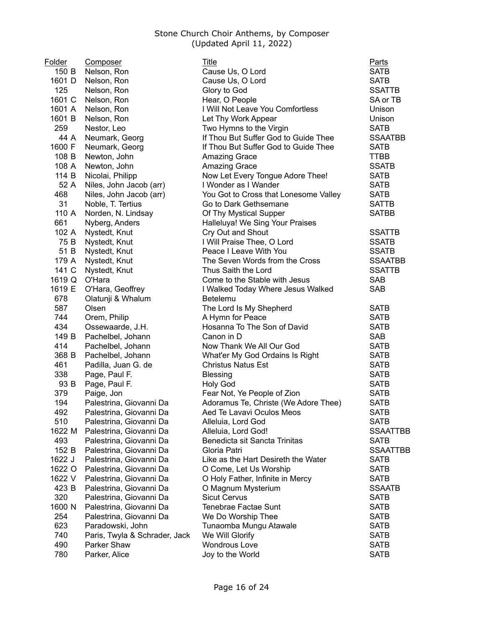| Folder | Composer                      | Title                                     | Parts           |
|--------|-------------------------------|-------------------------------------------|-----------------|
| 150 B  | Nelson, Ron                   | Cause Us, O Lord                          | <b>SATB</b>     |
| 1601 D | Nelson, Ron                   | Cause Us, O Lord                          | <b>SATB</b>     |
| 125    | Nelson, Ron                   | Glory to God                              | <b>SSATTB</b>   |
| 1601 C | Nelson, Ron                   | Hear, O People                            | SA or TB        |
| 1601 A | Nelson, Ron                   | I Will Not Leave You Comfortless          | Unison          |
| 1601 B | Nelson, Ron                   | Let Thy Work Appear                       | Unison          |
| 259    | Nestor, Leo                   | Two Hymns to the Virgin                   | <b>SATB</b>     |
| 44 A   | Neumark, Georg                | If Thou But Suffer God to Guide Thee      | <b>SSAATBB</b>  |
| 1600 F | Neumark, Georg                | If Thou But Suffer God to Guide Thee      | <b>SATB</b>     |
| 108 B  | Newton, John                  | <b>Amazing Grace</b>                      | <b>TTBB</b>     |
| 108 A  | Newton, John                  | <b>Amazing Grace</b>                      | <b>SSATB</b>    |
| 114 B  | Nicolai, Philipp              | Now Let Every Tongue Adore Thee!          | <b>SATB</b>     |
| 52 A   | Niles, John Jacob (arr)       | I Wonder as I Wander                      | <b>SATB</b>     |
| 468    | Niles, John Jacob (arr)       | You Got to Cross that Lonesome Valley     | <b>SATB</b>     |
| 31     | Noble, T. Tertius             | Go to Dark Gethsemane                     | <b>SATTB</b>    |
| 110 A  | Norden, N. Lindsay            | Of Thy Mystical Supper                    | <b>SATBB</b>    |
| 661    | Nyberg, Anders                | Halleluya! We Sing Your Praises           |                 |
| 102 A  | Nystedt, Knut                 | Cry Out and Shout                         | <b>SSATTB</b>   |
| 75 B   | Nystedt, Knut                 | I Will Praise Thee, O Lord                | <b>SSATB</b>    |
| 51 B   | Nystedt, Knut                 | Peace I Leave With You                    | <b>SSATB</b>    |
| 179 A  | Nystedt, Knut                 | The Seven Words from the Cross            | <b>SSAATBB</b>  |
| 141 C  | Nystedt, Knut                 | Thus Saith the Lord                       | <b>SSATTB</b>   |
| 1619 Q | O'Hara                        | Come to the Stable with Jesus             | <b>SAB</b>      |
| 1619 E | O'Hara, Geoffrey              | I Walked Today Where Jesus Walked         | SAB             |
| 678    | Olatunji & Whalum             | Betelemu                                  |                 |
| 587    | Olsen                         | The Lord Is My Shepherd                   | <b>SATB</b>     |
| 744    | Orem, Philip                  | A Hymn for Peace                          | <b>SATB</b>     |
| 434    | Ossewaarde, J.H.              | Hosanna To The Son of David               | <b>SATB</b>     |
| 149 B  | Pachelbel, Johann             | Canon in D                                | SAB             |
| 414    | Pachelbel, Johann             | Now Thank We All Our God                  | <b>SATB</b>     |
| 368 B  | Pachelbel, Johann             | What'er My God Ordains Is Right           | <b>SATB</b>     |
| 461    | Padilla, Juan G. de           | <b>Christus Natus Est</b>                 | <b>SATB</b>     |
| 338    | Page, Paul F.                 | <b>Blessing</b>                           | <b>SATB</b>     |
| 93 B   | Page, Paul F.                 | <b>Holy God</b>                           | <b>SATB</b>     |
| 379    | Paige, Jon                    | Fear Not, Ye People of Zion               | <b>SATB</b>     |
| 194    | Palestrina, Giovanni Da       | Adoramus Te, Christe (We Adore Thee)      | <b>SATB</b>     |
| 492    | Palestrina, Giovanni Da       | Aed Te Lavavi Oculos Meos                 | <b>SATB</b>     |
| 510    | Palestrina, Giovanni Da       | Alleluia, Lord God                        | <b>SATB</b>     |
| 1622 M | Palestrina, Giovanni Da       | Alleluia, Lord God!                       | <b>SSAATTBB</b> |
| 493    | Palestrina, Giovanni Da       | Benedicta sit Sancta Trinitas             | <b>SATB</b>     |
| 152 B  | Palestrina, Giovanni Da       | Gloria Patri                              | <b>SSAATTBB</b> |
| 1622 J | Palestrina, Giovanni Da       | Like as the Hart Desireth the Water       | <b>SATB</b>     |
| 1622 O | Palestrina, Giovanni Da       | O Come, Let Us Worship                    | <b>SATB</b>     |
| 1622 V | Palestrina, Giovanni Da       | O Holy Father, Infinite in Mercy          | <b>SATB</b>     |
| 423 B  | Palestrina, Giovanni Da       |                                           | <b>SSAATB</b>   |
| 320    | Palestrina, Giovanni Da       | O Magnum Mysterium<br><b>Sicut Cervus</b> | <b>SATB</b>     |
| 1600 N |                               | <b>Tenebrae Factae Sunt</b>               | <b>SATB</b>     |
|        | Palestrina, Giovanni Da       |                                           |                 |
| 254    | Palestrina, Giovanni Da       | We Do Worship Thee                        | <b>SATB</b>     |
| 623    | Paradowski, John              | Tunaomba Mungu Atawale                    | <b>SATB</b>     |
| 740    | Paris, Twyla & Schrader, Jack | We Will Glorify                           | <b>SATB</b>     |
| 490    | Parker Shaw                   | <b>Wondrous Love</b>                      | <b>SATB</b>     |
| 780    | Parker, Alice                 | Joy to the World                          | <b>SATB</b>     |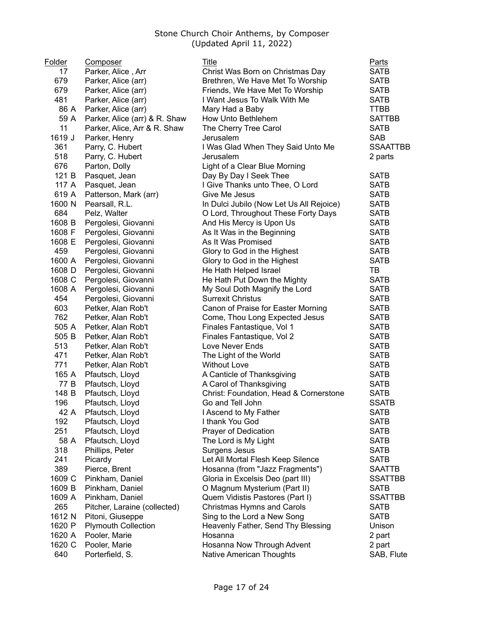| Folder | Composer                           | Title                                    | Parts               |
|--------|------------------------------------|------------------------------------------|---------------------|
| 17     | Parker, Alice, Arr                 | Christ Was Born on Christmas Day         | <b>SATB</b>         |
| 679    | Parker, Alice (arr)                | Brethren, We Have Met To Worship         | <b>SATB</b>         |
| 679    | Parker, Alice (arr)                | Friends, We Have Met To Worship          | <b>SATB</b>         |
| 481    | Parker, Alice (arr)                | I Want Jesus To Walk With Me             | <b>SATB</b>         |
| 86 A   | Parker, Alice (arr)                | Mary Had a Baby                          | <b>TTBB</b>         |
| 59 A   | Parker, Alice (arr) & R. Shaw      | How Unto Bethlehem                       | <b>SATTBB</b>       |
| 11     | Parker, Alice, Arr & R. Shaw       | The Cherry Tree Carol                    | <b>SATB</b>         |
| 1619 J | Parker, Henry                      | Jerusalem                                | <b>SAB</b>          |
| 361    | Parry, C. Hubert                   | I Was Glad When They Said Unto Me        | <b>SSAATTBB</b>     |
| 518    | Parry, C. Hubert                   | Jerusalem                                | 2 parts             |
| 676    | Parton, Dolly                      | Light of a Clear Blue Morning            |                     |
| 121 B  | Pasquet, Jean                      | Day By Day I Seek Thee                   | <b>SATB</b>         |
| 117 A  | Pasquet, Jean                      | I Give Thanks unto Thee, O Lord          | <b>SATB</b>         |
| 619 A  | Patterson, Mark (arr)              | Give Me Jesus                            | <b>SATB</b>         |
| 1600 N | Pearsall, R.L.                     | In Dulci Jubilo (Now Let Us All Rejoice) | <b>SATB</b>         |
| 684    | Pelz, Walter                       | O Lord, Throughout These Forty Days      | <b>SATB</b>         |
| 1608 B | Pergolesi, Giovanni                | And His Mercy is Upon Us                 | <b>SATB</b>         |
| 1608 F | Pergolesi, Giovanni                | As It Was in the Beginning               | <b>SATB</b>         |
| 1608 E | Pergolesi, Giovanni                | As It Was Promised                       | <b>SATB</b>         |
| 459    | Pergolesi, Giovanni                | Glory to God in the Highest              | <b>SATB</b>         |
| 1600 A | Pergolesi, Giovanni                | Glory to God in the Highest              | <b>SATB</b>         |
| 1608 D | Pergolesi, Giovanni                | He Hath Helped Israel                    | TB                  |
| 1608 C | Pergolesi, Giovanni                | He Hath Put Down the Mighty              | <b>SATB</b>         |
| 1608 A | Pergolesi, Giovanni                | My Soul Doth Magnify the Lord            | <b>SATB</b>         |
| 454    | Pergolesi, Giovanni                | <b>Surrexit Christus</b>                 | <b>SATB</b>         |
| 603    | Petker, Alan Rob't                 | Canon of Praise for Easter Morning       | <b>SATB</b>         |
| 762    | Petker, Alan Rob't                 | Come, Thou Long Expected Jesus           | <b>SATB</b>         |
| 505 A  | Petker, Alan Rob't                 | Finales Fantastique, Vol 1               | <b>SATB</b>         |
| 505 B  | Petker, Alan Rob't                 | Finales Fantastique, Vol 2               | <b>SATB</b>         |
| 513    | Petker, Alan Rob't                 | Love Never Ends                          | <b>SATB</b>         |
| 471    | Petker, Alan Rob't                 | The Light of the World                   | <b>SATB</b>         |
| 771    | Petker, Alan Rob't                 | <b>Without Love</b>                      | <b>SATB</b>         |
| 165 A  | Pfautsch, Lloyd                    | A Canticle of Thanksgiving               | <b>SATB</b>         |
| 77 B   | Pfautsch, Lloyd                    | A Carol of Thanksgiving                  | <b>SATB</b>         |
| 148 B  | Pfautsch, Lloyd                    | Christ: Foundation, Head & Cornerstone   | <b>SATB</b>         |
| 196    | Pfautsch, Lloyd                    | Go and Tell John                         | <b>SSATB</b>        |
| 42 A   |                                    |                                          |                     |
| 192    | Pfautsch, Lloyd<br>Pfautsch, Lloyd | I Ascend to My Father<br>I thank You God | SATB<br><b>SATB</b> |
| 251    | Pfautsch, Lloyd                    | Prayer of Dedication                     | <b>SATB</b>         |
| 58 A   | Pfautsch, Lloyd                    | The Lord is My Light                     | <b>SATB</b>         |
| 318    | Phillips, Peter                    | Surgens Jesus                            | <b>SATB</b>         |
| 241    | Picardy                            | Let All Mortal Flesh Keep Silence        | <b>SATB</b>         |
| 389    | Pierce, Brent                      | Hosanna (from "Jazz Fragments")          | <b>SAATTB</b>       |
| 1609 C | Pinkham, Daniel                    | Gloria in Excelsis Deo (part III)        | <b>SSATTBB</b>      |
| 1609 B | Pinkham, Daniel                    | O Magnum Mysterium (Part II)             | <b>SATB</b>         |
| 1609 A | Pinkham, Daniel                    | Quem Vidistis Pastores (Part I)          | <b>SSATTBB</b>      |
|        |                                    |                                          |                     |
| 265    | Pitcher, Laraine (collected)       | Christmas Hymns and Carols               | <b>SATB</b>         |
| 1612 N | Pitoni, Giuseppe                   | Sing to the Lord a New Song              | <b>SATB</b>         |
| 1620 P | <b>Plymouth Collection</b>         | Heavenly Father, Send Thy Blessing       | Unison              |
| 1620 A | Pooler, Marie                      | Hosanna                                  | 2 part              |
| 1620 C | Pooler, Marie                      | Hosanna Now Through Advent               | 2 part              |
| 640    | Porterfield, S.                    | <b>Native American Thoughts</b>          | SAB, Flute          |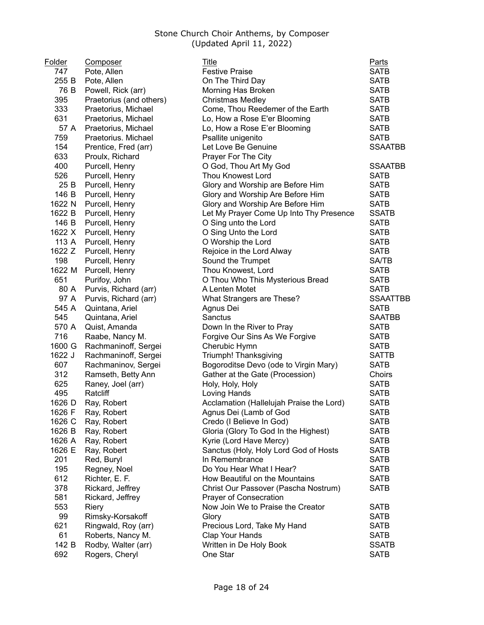| Folder | Composer                | <b>Title</b>                             | <b>Parts</b>    |
|--------|-------------------------|------------------------------------------|-----------------|
| 747    | Pote, Allen             | <b>Festive Praise</b>                    | <b>SATB</b>     |
| 255 B  | Pote, Allen             | On The Third Day                         | <b>SATB</b>     |
| 76 B   | Powell, Rick (arr)      | Morning Has Broken                       | <b>SATB</b>     |
| 395    | Praetorius (and others) | <b>Christmas Medley</b>                  | <b>SATB</b>     |
| 333    | Praetorius, Michael     | Come, Thou Reedemer of the Earth         | <b>SATB</b>     |
| 631    | Praetorius, Michael     | Lo, How a Rose E'er Blooming             | <b>SATB</b>     |
| 57 A   | Praetorius, Michael     | Lo, How a Rose E'er Blooming             | <b>SATB</b>     |
| 759    | Praetorius. Michael     | Psallite unigenito                       | <b>SATB</b>     |
| 154    | Prentice, Fred (arr)    | Let Love Be Genuine                      | <b>SSAATBB</b>  |
| 633    | Proulx, Richard         | Prayer For The City                      |                 |
| 400    | Purcell, Henry          | O God, Thou Art My God                   | <b>SSAATBB</b>  |
| 526    | Purcell, Henry          | <b>Thou Knowest Lord</b>                 | <b>SATB</b>     |
| 25 B   | Purcell, Henry          | Glory and Worship are Before Him         | <b>SATB</b>     |
| 146 B  | Purcell, Henry          | Glory and Worship Are Before Him         | <b>SATB</b>     |
| 1622 N | Purcell, Henry          | Glory and Worship Are Before Him         | <b>SATB</b>     |
| 1622 B | Purcell, Henry          | Let My Prayer Come Up Into Thy Presence  | <b>SSATB</b>    |
| 146 B  | Purcell, Henry          | O Sing unto the Lord                     | <b>SATB</b>     |
| 1622 X | Purcell, Henry          | O Sing Unto the Lord                     | <b>SATB</b>     |
| 113 A  | Purcell, Henry          | O Worship the Lord                       | <b>SATB</b>     |
| 1622 Z | Purcell, Henry          | Rejoice in the Lord Alway                | <b>SATB</b>     |
| 198    | Purcell, Henry          | Sound the Trumpet                        | <b>SA/TB</b>    |
| 1622 M | Purcell, Henry          | Thou Knowest, Lord                       | <b>SATB</b>     |
| 651    | Purifoy, John           | O Thou Who This Mysterious Bread         | <b>SATB</b>     |
| 80 A   | Purvis, Richard (arr)   | A Lenten Motet                           | <b>SATB</b>     |
| 97 A   | Purvis, Richard (arr)   | What Strangers are These?                | <b>SSAATTBB</b> |
| 545 A  | Quintana, Ariel         | Agnus Dei                                | <b>SATB</b>     |
| 545    | Quintana, Ariel         | Sanctus                                  | <b>SAATBB</b>   |
| 570 A  | Quist, Amanda           | Down In the River to Pray                | <b>SATB</b>     |
| 716    | Raabe, Nancy M.         | Forgive Our Sins As We Forgive           | <b>SATB</b>     |
| 1600 G | Rachmaninoff, Sergei    | Cherubic Hymn                            | <b>SATB</b>     |
| 1622 J | Rachmaninoff, Sergei    | Triumph! Thanksgiving                    | <b>SATTB</b>    |
| 607    | Rachmaninov, Sergei     | Bogoroditse Devo (ode to Virgin Mary)    | <b>SATB</b>     |
| 312    | Ramseth, Betty Ann      | Gather at the Gate (Procession)          | Choirs          |
| 625    | Raney, Joel (arr)       | Holy, Holy, Holy                         | <b>SATB</b>     |
| 495    | Ratcliff                | Loving Hands                             | <b>SATB</b>     |
| 1626 D | Ray, Robert             | Acclamation (Hallelujah Praise the Lord) | <b>SATB</b>     |
| 1626 F | Ray, Robert             | Agnus Dei (Lamb of God                   | <b>SATB</b>     |
| 1626 C | Ray, Robert             | Credo (I Believe In God)                 | <b>SATB</b>     |
| 1626 B | Ray, Robert             | Gloria (Glory To God In the Highest)     | <b>SATB</b>     |
| 1626 A | Ray, Robert             | Kyrie (Lord Have Mercy)                  | <b>SATB</b>     |
| 1626 E | Ray, Robert             | Sanctus (Holy, Holy Lord God of Hosts    | <b>SATB</b>     |
| 201    | Red, Buryl              | In Remembrance                           | <b>SATB</b>     |
| 195    | Regney, Noel            | Do You Hear What I Hear?                 | <b>SATB</b>     |
| 612    | Richter, E. F.          | How Beautiful on the Mountains           | <b>SATB</b>     |
| 378    | Rickard, Jeffrey        | Christ Our Passover (Pascha Nostrum)     | <b>SATB</b>     |
| 581    | Rickard, Jeffrey        | Prayer of Consecration                   |                 |
| 553    | Riery                   | Now Join We to Praise the Creator        | <b>SATB</b>     |
| 99     | Rimsky-Korsakoff        | Glory                                    | <b>SATB</b>     |
| 621    | Ringwald, Roy (arr)     | Precious Lord, Take My Hand              | <b>SATB</b>     |
| 61     | Roberts, Nancy M.       | Clap Your Hands                          | <b>SATB</b>     |
| 142 B  | Rodby, Walter (arr)     | Written in De Holy Book                  | <b>SSATB</b>    |
| 692    | Rogers, Cheryl          | One Star                                 | <b>SATB</b>     |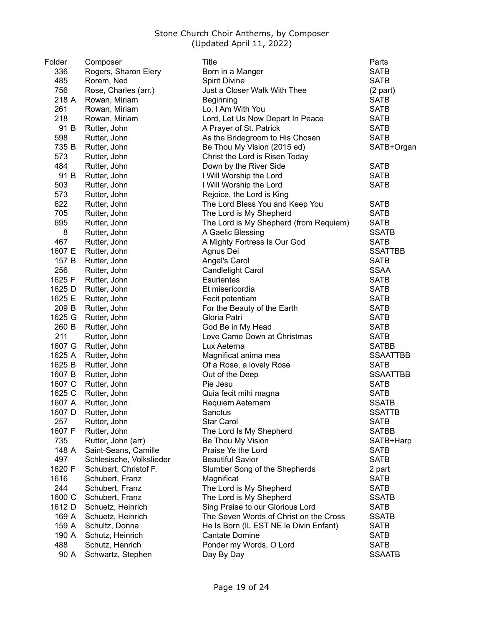| Folder | <b>Composer</b>          | <u>Title</u>                           | Parts           |
|--------|--------------------------|----------------------------------------|-----------------|
| 336    | Rogers, Sharon Elery     | Born in a Manger                       | <b>SATB</b>     |
| 485    | Rorem, Ned               | <b>Spirit Divine</b>                   | <b>SATB</b>     |
| 756    | Rose, Charles (arr.)     | Just a Closer Walk With Thee           | $(2$ part)      |
| 218 A  | Rowan, Miriam            | Beginning                              | <b>SATB</b>     |
| 261    | Rowan, Miriam            | Lo, I Am With You                      | <b>SATB</b>     |
| 218    | Rowan, Miriam            | Lord, Let Us Now Depart In Peace       | <b>SATB</b>     |
| 91 B   | Rutter, John             | A Prayer of St. Patrick                | <b>SATB</b>     |
| 598    | Rutter, John             | As the Bridegroom to His Chosen        | <b>SATB</b>     |
| 735 B  | Rutter, John             | Be Thou My Vision (2015 ed)            | SATB+Organ      |
| 573    | Rutter, John             | Christ the Lord is Risen Today         |                 |
| 484    | Rutter, John             | Down by the River Side                 | <b>SATB</b>     |
| 91 B   | Rutter, John             | I Will Worship the Lord                | <b>SATB</b>     |
| 503    | Rutter, John             | I Will Worship the Lord                | <b>SATB</b>     |
| 573    | Rutter, John             | Rejoice, the Lord is King              |                 |
| 622    | Rutter, John             | The Lord Bless You and Keep You        | <b>SATB</b>     |
| 705    | Rutter, John             | The Lord is My Shepherd                | <b>SATB</b>     |
| 695    | Rutter, John             | The Lord is My Shepherd (from Requiem) | <b>SATB</b>     |
| 8      | Rutter, John             | A Gaelic Blessing                      | <b>SSATB</b>    |
| 467    | Rutter, John             | A Mighty Fortress Is Our God           | <b>SATB</b>     |
| 1607 E | Rutter, John             | Agnus Dei                              | <b>SSATTBB</b>  |
| 157 B  | Rutter, John             | Angel's Carol                          | <b>SATB</b>     |
| 256    | Rutter, John             | <b>Candlelight Carol</b>               | <b>SSAA</b>     |
| 1625 F | Rutter, John             | <b>Esurientes</b>                      | <b>SATB</b>     |
| 1625 D | Rutter, John             | Et misericordia                        | <b>SATB</b>     |
| 1625 E | Rutter, John             | Fecit potentiam                        | <b>SATB</b>     |
| 209 B  | Rutter, John             | For the Beauty of the Earth            | <b>SATB</b>     |
| 1625 G | Rutter, John             | Gloria Patri                           | <b>SATB</b>     |
| 260 B  | Rutter, John             | God Be in My Head                      | <b>SATB</b>     |
| 211    | Rutter, John             | Love Came Down at Christmas            | <b>SATB</b>     |
| 1607 G | Rutter, John             | Lux Aeterna                            | <b>SATBB</b>    |
| 1625 A | Rutter, John             | Magnificat anima mea                   | <b>SSAATTBB</b> |
| 1625 B | Rutter, John             | Of a Rose, a lovely Rose               | <b>SATB</b>     |
| 1607 B | Rutter, John             | Out of the Deep                        | <b>SSAATTBB</b> |
| 1607 C | Rutter, John             | Pie Jesu                               | <b>SATB</b>     |
| 1625 C | Rutter, John             | Quia fecit mihi magna                  | <b>SATB</b>     |
| 1607 A | Rutter, John             | Requiem Aeternam                       | <b>SSATB</b>    |
| 1607 D | Rutter, John             | Sanctus                                | SSATTB          |
| 257    | Rutter, John             | <b>Star Carol</b>                      | <b>SATB</b>     |
| 1607 F | Rutter, John             | The Lord Is My Shepherd                | <b>SATBB</b>    |
| 735    | Rutter, John (arr)       | Be Thou My Vision                      | SATB+Harp       |
| 148 A  | Saint-Seans, Camille     | Praise Ye the Lord                     | <b>SATB</b>     |
| 497    | Schlesische, Volkslieder | <b>Beautiful Savior</b>                | <b>SATB</b>     |
| 1620 F | Schubart, Christof F.    | Slumber Song of the Shepherds          | 2 part          |
| 1616   | Schubert, Franz          | Magnificat                             | <b>SATB</b>     |
| 244    | Schubert, Franz          | The Lord is My Shepherd                | <b>SATB</b>     |
| 1600 C | Schubert, Franz          | The Lord is My Shepherd                | <b>SSATB</b>    |
| 1612 D | Schuetz, Heinrich        | Sing Praise to our Glorious Lord       | <b>SATB</b>     |
| 169 A  | Schuetz, Heinrich        | The Seven Words of Christ on the Cross | <b>SSATB</b>    |
| 159 A  | Schultz, Donna           | He Is Born (IL EST NE le Divin Enfant) | <b>SATB</b>     |
| 190 A  | Schutz, Heinrich         | <b>Cantate Domine</b>                  | <b>SATB</b>     |
| 488    | Schutz, Henrich          | Ponder my Words, O Lord                | <b>SATB</b>     |
| 90 A   | Schwartz, Stephen        | Day By Day                             | <b>SSAATB</b>   |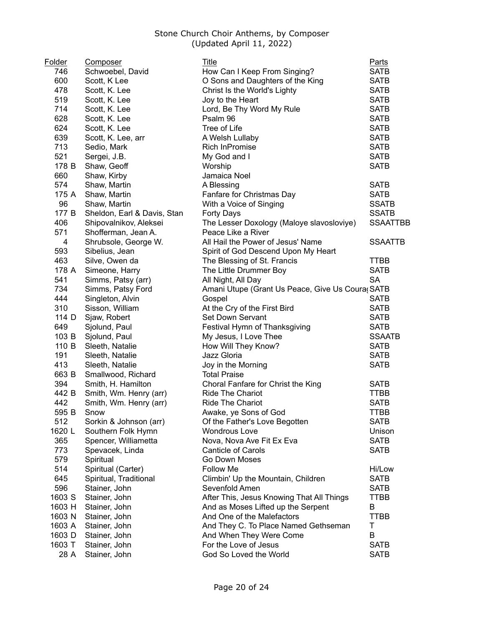| <b>Folder</b> | <b>Composer</b>                            | Title                                           | <b>Parts</b>    |
|---------------|--------------------------------------------|-------------------------------------------------|-----------------|
| 746           | Schwoebel, David                           | How Can I Keep From Singing?                    | <b>SATB</b>     |
| 600           | Scott, K Lee                               | O Sons and Daughters of the King                | <b>SATB</b>     |
| 478           | Scott, K. Lee                              | Christ Is the World's Lighty                    | <b>SATB</b>     |
| 519           | Scott, K. Lee                              | Joy to the Heart                                | <b>SATB</b>     |
| 714           | Scott, K. Lee                              | Lord, Be Thy Word My Rule                       | <b>SATB</b>     |
| 628           | Scott, K. Lee                              | Psalm 96                                        | <b>SATB</b>     |
| 624           | Scott, K. Lee                              | Tree of Life                                    | <b>SATB</b>     |
| 639           | Scott, K. Lee, arr                         | A Welsh Lullaby                                 | <b>SATB</b>     |
| 713           | Sedio, Mark                                | Rich InPromise                                  | <b>SATB</b>     |
| 521           | Sergei, J.B.                               | My God and I                                    | <b>SATB</b>     |
| 178 B         | Shaw, Geoff                                | Worship                                         | <b>SATB</b>     |
| 660           | Shaw, Kirby                                | Jamaica Noel                                    |                 |
| 574           | Shaw, Martin                               | A Blessing                                      | <b>SATB</b>     |
| 175 A         | Shaw, Martin                               | Fanfare for Christmas Day                       | <b>SATB</b>     |
| 96            | Shaw, Martin                               | With a Voice of Singing                         | <b>SSATB</b>    |
| 177 B         | Sheldon, Earl & Davis, Stan                | Forty Days                                      | <b>SSATB</b>    |
| 406           | Shipovalnikov, Aleksei                     | The Lesser Doxology (Maloye slavosloviye)       | <b>SSAATTBB</b> |
| 571           | Shofferman, Jean A.                        | Peace Like a River                              |                 |
| 4             | Shrubsole, George W.                       | All Hail the Power of Jesus' Name               | <b>SSAATTB</b>  |
| 593           | Sibelius, Jean                             | Spirit of God Descend Upon My Heart             |                 |
| 463           | Silve, Owen da                             | The Blessing of St. Francis                     | <b>TTBB</b>     |
| 178 A         | Simeone, Harry                             | The Little Drummer Boy                          | <b>SATB</b>     |
| 541           | Simms, Patsy (arr)                         | All Night, All Day                              | <b>SA</b>       |
| 734           | Simms, Patsy Ford                          | Amani Utupe (Grant Us Peace, Give Us Coura SATB |                 |
| 444           | Singleton, Alvin                           | Gospel                                          | <b>SATB</b>     |
| 310           | Sisson, William                            | At the Cry of the First Bird                    | <b>SATB</b>     |
| 114 D         | Sjaw, Robert                               | Set Down Servant                                | <b>SATB</b>     |
| 649           | Sjolund, Paul                              | Festival Hymn of Thanksgiving                   | <b>SATB</b>     |
| 103 B         | Sjolund, Paul                              | My Jesus, I Love Thee                           | <b>SSAATB</b>   |
| 110 B         | Sleeth, Natalie                            | How Will They Know?                             | <b>SATB</b>     |
| 191           | Sleeth, Natalie                            | Jazz Gloria                                     | <b>SATB</b>     |
| 413           | Sleeth, Natalie                            | Joy in the Morning                              | <b>SATB</b>     |
| 663 B         | Smallwood, Richard                         | <b>Total Praise</b>                             |                 |
| 394           | Smith, H. Hamilton                         | Choral Fanfare for Christ the King              | <b>SATB</b>     |
| 442 B         | Smith, Wm. Henry (arr)                     | <b>Ride The Chariot</b>                         | <b>TTBB</b>     |
| 442           | Smith, Wm. Henry (arr)                     | <b>Ride The Chariot</b>                         | <b>SATB</b>     |
| 595 B         | Snow                                       | Awake, ye Sons of God                           | TTBB            |
| 512           |                                            | Of the Father's Love Begotten                   | <b>SATB</b>     |
| 1620 L        | Sorkin & Johnson (arr)                     | <b>Wondrous Love</b>                            | Unison          |
| 365           | Southern Folk Hymn<br>Spencer, Williametta |                                                 | <b>SATB</b>     |
|               |                                            | Nova, Nova Ave Fit Ex Eva                       |                 |
| 773           | Spevacek, Linda                            | <b>Canticle of Carols</b>                       | <b>SATB</b>     |
| 579           | Spiritual                                  | Go Down Moses                                   |                 |
| 514           | Spiritual (Carter)                         | <b>Follow Me</b>                                | Hi/Low          |
| 645           | Spiritual, Traditional                     | Climbin' Up the Mountain, Children              | <b>SATB</b>     |
| 596           | Stainer, John                              | Sevenfold Amen                                  | <b>SATB</b>     |
| 1603 S        | Stainer, John                              | After This, Jesus Knowing That All Things       | <b>TTBB</b>     |
| 1603 H        | Stainer, John                              | And as Moses Lifted up the Serpent              | B               |
| 1603 N        | Stainer, John                              | And One of the Malefactors                      | <b>TTBB</b>     |
| 1603 A        | Stainer, John                              | And They C. To Place Named Gethseman            | Т               |
| 1603 D        | Stainer, John                              | And When They Were Come                         | B               |
| 1603 T        | Stainer, John                              | For the Love of Jesus                           | <b>SATB</b>     |
| 28 A          | Stainer, John                              | God So Loved the World                          | <b>SATB</b>     |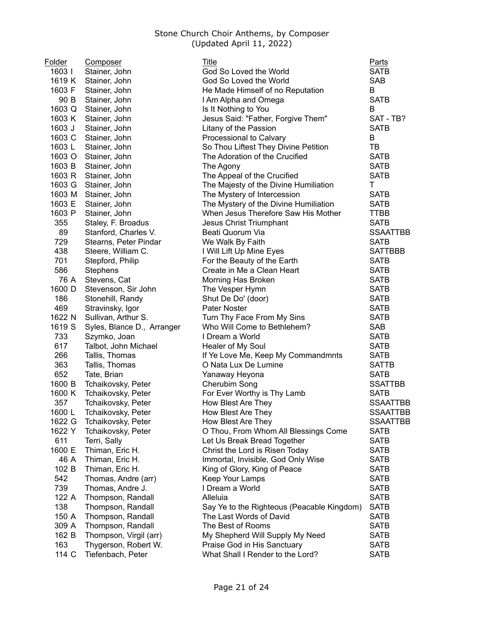| Folder        | <b>Composer</b>                    | <b>Title</b>                               | Parts                      |
|---------------|------------------------------------|--------------------------------------------|----------------------------|
| 1603          | Stainer, John                      | God So Loved the World                     | <b>SATB</b>                |
| 1619 K        | Stainer, John                      | God So Loved the World                     | <b>SAB</b>                 |
| 1603 F        | Stainer, John                      | He Made Himself of no Reputation           | B                          |
| 90 B          | Stainer, John                      | I Am Alpha and Omega                       | <b>SATB</b>                |
| 1603 Q        | Stainer, John                      | Is It Nothing to You                       | B                          |
| 1603 K        | Stainer, John                      | Jesus Said: "Father, Forgive Them"         | SAT - TB?                  |
| 1603 J        | Stainer, John                      | Litany of the Passion                      | <b>SATB</b>                |
| 1603 C        | Stainer, John                      | Processional to Calvary                    | B                          |
| 1603L         | Stainer, John                      | So Thou Liftest They Divine Petition       | TB                         |
| 1603 O        | Stainer, John                      | The Adoration of the Crucified             | <b>SATB</b>                |
| 1603 B        | Stainer, John                      | The Agony                                  | <b>SATB</b>                |
| 1603 R        | Stainer, John                      | The Appeal of the Crucified                | <b>SATB</b>                |
| 1603 G        | Stainer, John                      | The Majesty of the Divine Humiliation      | T                          |
| 1603 M        | Stainer, John                      | The Mystery of Intercession                | <b>SATB</b>                |
| 1603 E        | Stainer, John                      | The Mystery of the Divine Humiliation      | <b>SATB</b>                |
| 1603 P        | Stainer, John                      | When Jesus Therefore Saw His Mother        | <b>TTBB</b>                |
| 355           | Staley, F. Broadus                 | <b>Jesus Christ Triumphant</b>             | <b>SATB</b>                |
| 89            | Stanford, Charles V.               | Beati Quorum Via                           | <b>SSAATTBB</b>            |
| 729           | Stearns, Peter Pindar              | We Walk By Faith                           | <b>SATB</b>                |
| 438           | Steere, William C.                 | I Will Lift Up Mine Eyes                   | <b>SATTBBB</b>             |
| 701           | Stepford, Philip                   | For the Beauty of the Earth                | <b>SATB</b>                |
| 586           | Stephens                           | Create in Me a Clean Heart                 | <b>SATB</b>                |
| 76 A          | Stevens, Cat                       | Morning Has Broken                         | <b>SATB</b>                |
| 1600 D        | Stevenson, Sir John                | The Vesper Hymn                            | <b>SATB</b>                |
| 186           | Stonehill, Randy                   | Shut De Do' (door)                         | <b>SATB</b>                |
| 469           | Stravinsky, Igor                   | <b>Pater Noster</b>                        | <b>SATB</b>                |
| 1622 N        | Sullivan, Arthur S.                | Turn Thy Face From My Sins                 | <b>SATB</b>                |
| 1619 S        | Syles, Blance D., Arranger         | Who Will Come to Bethlehem?                | <b>SAB</b>                 |
| 733           | Szymko, Joan                       | I Dream a World                            | <b>SATB</b>                |
| 617           | Talbot, John Michael               | Healer of My Soul                          | <b>SATB</b>                |
| 266           | Tallis, Thomas                     | If Ye Love Me, Keep My Commandmnts         | <b>SATB</b>                |
| 363           | Tallis, Thomas                     | O Nata Lux De Lumine                       | <b>SATTB</b>               |
| 652           | Tate, Brian                        |                                            | <b>SATB</b>                |
| 1600 B        | Tchaikovsky, Peter                 | Yanaway Heyona<br>Cherubim Song            | <b>SSATTBB</b>             |
| 1600 K        | Tchaikovsky, Peter                 | For Ever Worthy is Thy Lamb                | <b>SATB</b>                |
| 357           |                                    |                                            | <b>SSAATTBB</b>            |
| 1600L         | Tchaikovsky, Peter                 | How Blest Are They                         |                            |
|               | Tchaikovsky, Peter                 | How Blest Are They                         | <b>SSAATTBB</b>            |
| 1622 G        | Tchaikovsky, Peter                 | How Blest Are They                         | <b>SSAATTBB</b>            |
| 1622 Y<br>611 | Tchaikovsky, Peter                 | O Thou, From Whom All Blessings Come       | <b>SATB</b><br><b>SATB</b> |
| 1600 E        | Terri, Sally                       | Let Us Break Bread Together                |                            |
|               | Thiman, Eric H.                    | Christ the Lord is Risen Today             | <b>SATB</b>                |
| 46 A<br>102 B | Thiman, Eric H.<br>Thiman, Eric H. | Immortal, Invisible, God Only Wise         | <b>SATB</b>                |
|               |                                    | King of Glory, King of Peace               | <b>SATB</b>                |
| 542           | Thomas, Andre (arr)                | Keep Your Lamps                            | <b>SATB</b>                |
| 739           | Thomas, Andre J.                   | I Dream a World                            | <b>SATB</b>                |
| 122 A         | Thompson, Randall                  | Alleluia                                   | <b>SATB</b>                |
| 138           | Thompson, Randall                  | Say Ye to the Righteous (Peacable Kingdom) | <b>SATB</b>                |
| 150 A         | Thompson, Randall                  | The Last Words of David                    | <b>SATB</b>                |
| 309 A         | Thompson, Randall                  | The Best of Rooms                          | <b>SATB</b>                |
| 162 B         | Thompson, Virgil (arr)             | My Shepherd Will Supply My Need            | <b>SATB</b>                |
| 163           | Thygerson, Robert W.               | Praise God in His Sanctuary                | <b>SATB</b>                |
| 114 C         | Tiefenbach, Peter                  | What Shall I Render to the Lord?           | <b>SATB</b>                |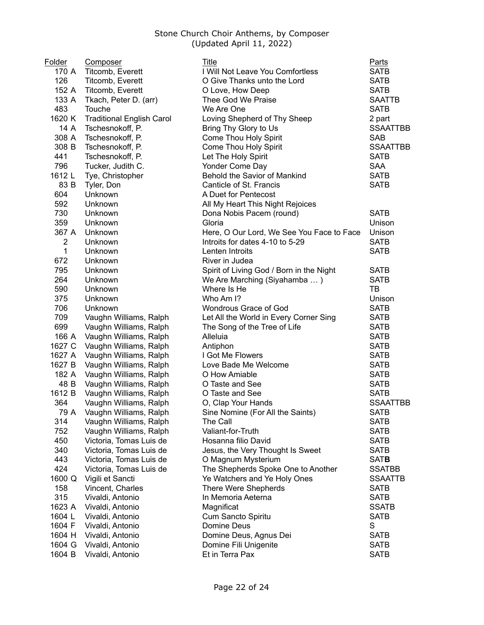| Folder                  | Composer                         | Title                                     | <b>Parts</b>    |
|-------------------------|----------------------------------|-------------------------------------------|-----------------|
| 170 A                   | Titcomb, Everett                 | I Will Not Leave You Comfortless          | <b>SATB</b>     |
| 126                     | Titcomb, Everett                 | O Give Thanks unto the Lord               | <b>SATB</b>     |
| 152 A                   | Titcomb, Everett                 | O Love, How Deep                          | <b>SATB</b>     |
| 133 A                   | Tkach, Peter D. (arr)            | Thee God We Praise                        | <b>SAATTB</b>   |
| 483                     | Touche                           | We Are One                                | <b>SATB</b>     |
| 1620 K                  | <b>Traditional English Carol</b> | Loving Shepherd of Thy Sheep              | 2 part          |
| 14 A                    | Tschesnokoff, P.                 | Bring Thy Glory to Us                     | <b>SSAATTBB</b> |
| 308 A                   | Tschesnokoff, P.                 | Come Thou Holy Spirit                     | <b>SAB</b>      |
| 308 B                   | Tschesnokoff, P.                 | Come Thou Holy Spirit                     | <b>SSAATTBB</b> |
| 441                     | Tschesnokoff, P.                 | Let The Holy Spirit                       | <b>SATB</b>     |
| 796                     | Tucker, Judith C.                | Yonder Come Day                           | <b>SAA</b>      |
| 1612 L                  | Tye, Christopher                 | Behold the Savior of Mankind              | <b>SATB</b>     |
| 83 B                    | Tyler, Don                       | Canticle of St. Francis                   | <b>SATB</b>     |
| 604                     | Unknown                          | A Duet for Pentecost                      |                 |
| 592                     | Unknown                          | All My Heart This Night Rejoices          |                 |
| 730                     | Unknown                          | Dona Nobis Pacem (round)                  | <b>SATB</b>     |
| 359                     | Unknown                          | Gloria                                    | Unison          |
| 367 A                   | Unknown                          | Here, O Our Lord, We See You Face to Face | Unison          |
| $\overline{\mathbf{c}}$ | Unknown                          | Introits for dates 4-10 to 5-29           | <b>SATB</b>     |
| 1                       | Unknown                          | Lenten Introits                           | <b>SATB</b>     |
| 672                     | Unknown                          | River in Judea                            |                 |
| 795                     | Unknown                          | Spirit of Living God / Born in the Night  | <b>SATB</b>     |
| 264                     | Unknown                          | We Are Marching (Siyahamba )              | <b>SATB</b>     |
| 590                     | Unknown                          | Where Is He                               | TB              |
| 375                     | Unknown                          | Who Am I?                                 | Unison          |
| 706                     | Unknown                          | Wondrous Grace of God                     | <b>SATB</b>     |
| 709                     | Vaughn Williams, Ralph           | Let All the World in Every Corner Sing    | <b>SATB</b>     |
| 699                     | Vaughn Williams, Ralph           | The Song of the Tree of Life              | <b>SATB</b>     |
| 166 A                   | Vaughn Williams, Ralph           | Alleluia                                  | <b>SATB</b>     |
| 1627 C                  | Vaughn Williams, Ralph           | Antiphon                                  | <b>SATB</b>     |
| 1627 A                  | Vaughn Williams, Ralph           | I Got Me Flowers                          | <b>SATB</b>     |
| 1627 B                  | Vaughn Williams, Ralph           | Love Bade Me Welcome                      | <b>SATB</b>     |
| 182 A                   | Vaughn Williams, Ralph           | O How Amiable                             | <b>SATB</b>     |
| 48 B                    | Vaughn Williams, Ralph           | O Taste and See                           | <b>SATB</b>     |
| 1612 B                  | Vaughn Williams, Ralph           | O Taste and See                           | <b>SATB</b>     |
| 364                     | Vaughn Williams, Ralph           | O, Clap Your Hands                        | <b>SSAATTBB</b> |
| 79 A                    | Vaughn Williams, Ralph           | Sine Nomine (For All the Saints)          | SATB            |
| 314                     | Vaughn Williams, Ralph           | The Call                                  | <b>SATB</b>     |
| 752                     | Vaughn Williams, Ralph           | Valiant-for-Truth                         | <b>SATB</b>     |
| 450                     | Victoria, Tomas Luis de          | Hosanna filio David                       | <b>SATB</b>     |
| 340                     | Victoria, Tomas Luis de          | Jesus, the Very Thought Is Sweet          | <b>SATB</b>     |
| 443                     | Victoria, Tomas Luis de          | O Magnum Mysterium                        | <b>SATB</b>     |
| 424                     | Victoria, Tomas Luis de          | The Shepherds Spoke One to Another        | <b>SSATBB</b>   |
| 1600 Q                  | Vigili et Sancti                 | Ye Watchers and Ye Holy Ones              | <b>SSAATTB</b>  |
| 158                     | Vincent, Charles                 | There Were Shepherds                      | <b>SATB</b>     |
| 315                     | Vivaldi, Antonio                 | In Memoria Aeterna                        | <b>SATB</b>     |
| 1623 A                  | Vivaldi, Antonio                 | Magnificat                                | <b>SSATB</b>    |
| 1604 L                  | Vivaldi, Antonio                 | Cum Sancto Spiritu                        | <b>SATB</b>     |
| 1604 F                  | Vivaldi, Antonio                 | Domine Deus                               | S               |
| 1604 H                  | Vivaldi, Antonio                 | Domine Deus, Agnus Dei                    | <b>SATB</b>     |
| 1604 G                  | Vivaldi, Antonio                 | Domine Fili Unigenite                     | <b>SATB</b>     |
| 1604 B                  | Vivaldi, Antonio                 | Et in Terra Pax                           | <b>SATB</b>     |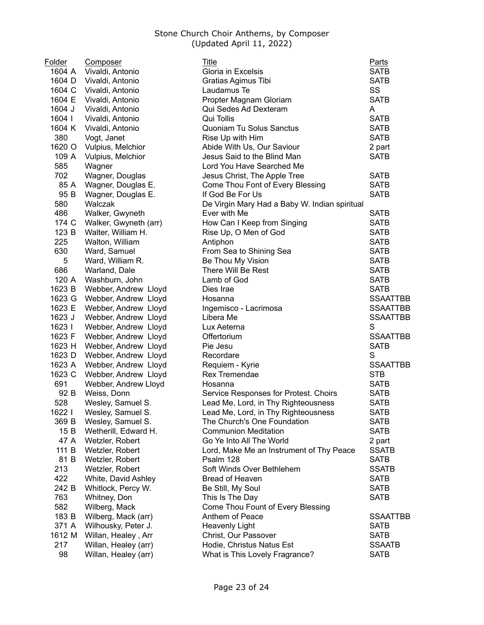| Folder | <b>Composer</b>          | Title                                         | <b>Parts</b>    |
|--------|--------------------------|-----------------------------------------------|-----------------|
| 1604 A | Vivaldi, Antonio         | Gloria in Excelsis                            | <b>SATB</b>     |
| 1604 D | Vivaldi, Antonio         | Gratias Agimus Tibi                           | <b>SATB</b>     |
| 1604 C | Vivaldi, Antonio         | Laudamus Te                                   | SS              |
| 1604 E | Vivaldi, Antonio         | Propter Magnam Gloriam                        | <b>SATB</b>     |
| 1604 J | Vivaldi, Antonio         | Qui Sedes Ad Dexteram                         | A               |
| 1604 l | Vivaldi, Antonio         | Qui Tollis                                    | <b>SATB</b>     |
| 1604 K | Vivaldi, Antonio         | Quoniam Tu Solus Sanctus                      | <b>SATB</b>     |
| 380    | Vogt, Janet              | Rise Up with Him                              | <b>SATB</b>     |
| 1620 O | Vulpius, Melchior        | Abide With Us, Our Saviour                    | 2 part          |
| 109 A  | Vulpius, Melchior        | Jesus Said to the Blind Man                   | <b>SATB</b>     |
| 585    | Wagner                   | Lord You Have Searched Me                     |                 |
| 702    | Wagner, Douglas          | Jesus Christ, The Apple Tree                  | <b>SATB</b>     |
| 85 A   | Wagner, Douglas E.       | Come Thou Font of Every Blessing              | <b>SATB</b>     |
| 95 B   | Wagner, Douglas E.       | If God Be For Us                              | <b>SATB</b>     |
| 580    | Walczak                  | De Virgin Mary Had a Baby W. Indian spiritual |                 |
| 486    | Walker, Gwyneth          | Ever with Me                                  | <b>SATB</b>     |
| 174 C  | Walker, Gwyneth (arr)    | How Can I Keep from Singing                   | <b>SATB</b>     |
| 123 B  | Walter, William H.       | Rise Up, O Men of God                         | <b>SATB</b>     |
| 225    | Walton, William          | Antiphon                                      | <b>SATB</b>     |
| 630    | Ward, Samuel             | From Sea to Shining Sea                       | <b>SATB</b>     |
| 5      | Ward, William R.         | Be Thou My Vision                             | <b>SATB</b>     |
| 686    | Warland, Dale            | There Will Be Rest                            | <b>SATB</b>     |
| 120 A  | Washburn, John           | Lamb of God                                   | <b>SATB</b>     |
| 1623 B | Webber, Andrew Lloyd     | Dies Irae                                     | <b>SATB</b>     |
| 1623 G | Webber, Andrew Lloyd     | Hosanna                                       | <b>SSAATTBB</b> |
| 1623 E | Webber, Andrew Lloyd     | Ingemisco - Lacrimosa                         | <b>SSAATTBB</b> |
| 1623 J | Webber, Andrew Lloyd     | Libera Me                                     | <b>SSAATTBB</b> |
| 1623   | Webber, Andrew Lloyd     | Lux Aeterna                                   | S               |
| 1623 F | Webber, Andrew Lloyd     | Offertorium                                   | <b>SSAATTBB</b> |
| 1623 H | Webber, Andrew Lloyd     | Pie Jesu                                      | <b>SATB</b>     |
| 1623 D | Webber, Andrew Lloyd     | Recordare                                     | S               |
| 1623 A | Webber, Andrew Lloyd     | Requiem - Kyrie                               | <b>SSAATTBB</b> |
| 1623 C | Webber, Andrew Lloyd     | Rex Tremendae                                 | <b>STB</b>      |
| 691    | Webber, Andrew Lloyd     | Hosanna                                       | <b>SATB</b>     |
| 92 B   | Weiss, Donn              | Service Responses for Protest. Choirs         | <b>SATB</b>     |
| 528    | Wesley, Samuel S.        | Lead Me, Lord, in Thy Righteousness           | <b>SATB</b>     |
|        | 1622 I Wesley, Samuel S. | Lead Me, Lord, in Thy Righteousness           | <b>SATB</b>     |
| 369 B  | Wesley, Samuel S.        | The Church's One Foundation                   | <b>SATB</b>     |
| 15B    | Wetherill, Edward H.     | <b>Communion Meditation</b>                   | <b>SATB</b>     |
| 47 A   | Wetzler, Robert          | Go Ye Into All The World                      | 2 part          |
| 111 B  | Wetzler, Robert          | Lord, Make Me an Instrument of Thy Peace      | <b>SSATB</b>    |
| 81 B   | Wetzler, Robert          | Psalm 128                                     | <b>SATB</b>     |
| 213    | Wetzler, Robert          | Soft Winds Over Bethlehem                     | <b>SSATB</b>    |
| 422    | White, David Ashley      | Bread of Heaven                               | <b>SATB</b>     |
| 242 B  | Whitlock, Percy W.       | Be Still, My Soul                             | <b>SATB</b>     |
| 763    | Whitney, Don             | This Is The Day                               | <b>SATB</b>     |
| 582    | Wilberg, Mack            | Come Thou Fount of Every Blessing             |                 |
| 183 B  | Wilberg, Mack (arr)      | Anthem of Peace                               | <b>SSAATTBB</b> |
| 371 A  | Wilhousky, Peter J.      | <b>Heavenly Light</b>                         | <b>SATB</b>     |
| 1612 M | Willan, Healey, Arr      | Christ, Our Passover                          | <b>SATB</b>     |
| 217    | Willan, Healey (arr)     | Hodie, Christus Natus Est                     | <b>SSAATB</b>   |
| 98     | Willan, Healey (arr)     | What is This Lovely Fragrance?                | <b>SATB</b>     |